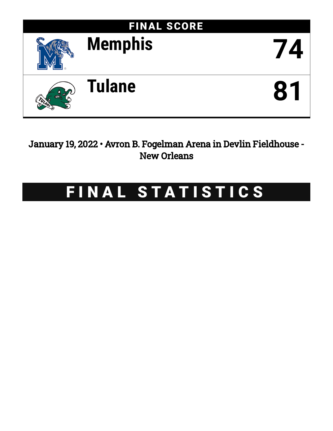

January 19, 2022 • Avron B. Fogelman Arena in Devlin Fieldhouse - New Orleans

# FINAL STATISTICS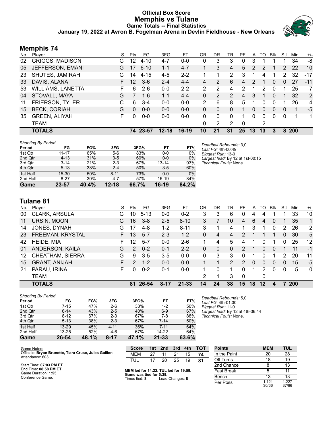# **Official Box Score Memphis vs Tulane Game Totals -- Final Statistics January 19, 2022 at Avron B. Fogelman Arena in Devlin Fieldhouse - New Orleans**



# **Memphis 74**

| No. | Plaver                   | S  | <b>Pts</b> | FG.      | 3FG       | FT      | OR | DR | TR             | РF             | A        | TO           | <b>Blk</b> | Stl      | Min | $+/-$ |
|-----|--------------------------|----|------------|----------|-----------|---------|----|----|----------------|----------------|----------|--------------|------------|----------|-----|-------|
| 02  | <b>GRIGGS, MADISON</b>   | G  | 12         | $4 - 10$ | 4-7       | $0-0$   | 0  | 3  | 3              | 0              | 3        |              |            |          | 34  | -8    |
| 05  | JEFFERSON, EMANI         | G  | 17         | $6 - 10$ | $1 - 1$   | $4 - 7$ |    | 3  | 4              | 5.             | 2        | 2            |            | 2        | 22  | 10    |
| 23  | SHUTES, JAMIRAH          | G  | 14         | $4 - 15$ | 4-5       | $2 - 2$ |    | 1  | 2              | 3              |          | 4            |            | 2        | 32  | $-17$ |
| 33  | DAVIS, ALANA             | F. | 12         | $3-6$    | $2 - 4$   | $4 - 4$ | 4  | 2  | 6              | 4              | 2        | 1            | $\Omega$   | $\Omega$ | 27  | $-11$ |
| 53  | <b>WILLIAMS, LANETTA</b> | F. | 6          | $2-6$    | $0 - 0$   | $2 - 2$ | 2  | 2  | 4              | 2              | 1        | 2            | $\Omega$   | 1        | 25  | $-7$  |
| 04  | STOVALL, MAYA            | G  |            | $1 - 6$  | $1 - 1$   | $4 - 4$ | 0  | 2  | $\overline{2}$ | $\overline{4}$ | 3        |              | $\Omega$   | 1        | 32  | $-2$  |
| 11  | <b>FRIERSON, TYLER</b>   | C  | 6          | $3 - 4$  | $0 - 0$   | $0 - 0$ | 2  | 6  | 8              | 5              |          | 0            | 0          |          | 26  | 4     |
| 15  | <b>BECK, CORIAH</b>      | G  | $\Omega$   | $0 - 0$  | $0 - 0$   | $0 - 0$ | 0  | 0  | 0              | 1              | $\Omega$ | $\mathbf{0}$ | $\Omega$   | $\Omega$ | 1   | -5    |
| 35  | <b>GREEN, ALIYAH</b>     | F  | $\Omega$   | $0-0$    | $0 - 0$   | $0 - 0$ | 0  | 0  | 0              | 1              | 0        | $\Omega$     | $\Omega$   | 0        | 1   | 1     |
|     | <b>TEAM</b>              |    |            |          |           |         | 0  | 2  | 2              | 0              |          | 2            |            |          |     |       |
|     | <b>TOTALS</b>            |    |            | 74 23-57 | $12 - 18$ | $16-19$ | 10 | 21 | 31             | 25             | 13       | 13           | 3          | 8        | 200 |       |

| <b>Shooting By Period</b> |           |       |           |       |         |       | Deadball Rebounds: 3.0           |
|---------------------------|-----------|-------|-----------|-------|---------|-------|----------------------------------|
| Period                    | FG        | FG%   | 3FG       | 3FG%  | FT.     | FT%   | Last FG: 4th-00:49               |
| 1st Qtr                   | $11 - 17$ | 65%   | $5-6$     | 83%   | $0-0$   | $0\%$ | Biggest Run: 13-0                |
| 2nd Qtr                   | $4 - 13$  | 31%   | $3-5$     | 60%   | $0-0$   | 0%    | Largest lead: By 12 at 1st-00:15 |
| 3rd Qtr                   | $3 - 14$  | 21%   | $2 - 3$   | 67%   | 13-14   | 93%   | Technical Fouls: None.           |
| 4th Qtr                   | $5 - 13$  | 38%   | $2 - 4$   | 50%   | $3-5$   | 60%   |                                  |
| 1st Half                  | $15-30$   | 50%   | $8 - 11$  | 73%   | $0 - 0$ | $0\%$ |                                  |
| 2nd Half                  | $8 - 27$  | 30%   | $4 - 7$   | 57%   | 16-19   | 84%   |                                  |
| Game                      | 23-57     | 40.4% | $12 - 18$ | 66.7% | $16-19$ | 84.2% |                                  |

# **Tulane 81**

| No. | Player                  | S  | Pts           | FG       | 3FG      | FТ        | 0R       | DR | TR             | PF | A        | TO | Blk          | Stl | Min        | $+/-$        |
|-----|-------------------------|----|---------------|----------|----------|-----------|----------|----|----------------|----|----------|----|--------------|-----|------------|--------------|
| 00  | CLARK, ARSULA           | G  | 10            | $5 - 13$ | 0-0      | $0 - 2$   | 3        | 3  | 6              | 0  | 4        |    |              |     | 33         | 10           |
| 11  | URSIN, MOON             | G  | 16            | $3 - 8$  | $2 - 5$  | $8 - 10$  | 3        |    | 10             | 4  | 6        | 4  | $\mathbf{0}$ |     | 35         | $\mathbf{1}$ |
| 14  | JONES, DYNAH            | G  | 17            | $4 - 8$  | $1 - 2$  | $8 - 11$  | 3        |    | 4              |    | 3        |    | 0            | 2   | 26         | 2            |
| 23  | FREEMAN, KRYSTAL        | F. | 13            | $5 - 7$  | $2 - 3$  | $1 - 2$   | 0        | 4  | $\overline{4}$ | 2  |          |    |              | 0   | 30         | 5            |
| 42  | HEIDE, MIA              | F. | 12            | $5 - 7$  | $0 - 0$  | $2-6$     |          | 4  | 5              | 4  |          | 0  |              | 0   | 25         | 12           |
| 01  | ANDERSON, KAILA         | G  | 2             | $0 - 2$  | 0-1      | $2 - 2$   | 0        | 0  | $\Omega$       | 2  |          | 0  | $\Omega$     |     | 11         | $-1$         |
| 12  | <b>CHEATHAM, SIERRA</b> | G  | 9             | $3 - 5$  | $3 - 5$  | $0 - 0$   | $\Omega$ | 3  | 3              | 0  | 1        | 0  |              | 2   | 20         | 11           |
| 15  | <b>GRANT, ANIJAH</b>    | F. | $\mathcal{P}$ | $1 - 2$  | $0 - 0$  | $0 - 0$   |          |    | $\overline{2}$ | 2  | $\Omega$ | 0  | $\Omega$     | 0   | 15         | $-5$         |
| 21  | PARAU, IRINA            | F. | 0             | $0 - 2$  | $0 - 1$  | $0 - 0$   | 1.       | 0  | 1              | 0  | 1        | 2  | 0            | 0   | 5          | $\mathbf{0}$ |
|     | <b>TEAM</b>             |    |               |          |          |           | 2        | 1  | 3              | 0  |          | 0  |              |     |            |              |
|     | <b>TOTALS</b>           |    | 81            | 26-54    | $8 - 17$ | $21 - 33$ | 14       | 24 | 38             | 15 | 18       | 12 | 4            |     | <b>200</b> |              |

| Game                                | 26-54     | 48.1% | 8-17     | 47.1% | $21 - 33$ | 63.6% |
|-------------------------------------|-----------|-------|----------|-------|-----------|-------|
| 2nd Half                            | $13 - 25$ | 52%   | $4-6$    | 67%   | 14-22     | 64%   |
| 1st Half                            | $13 - 29$ | 45%   | $4 - 11$ | 36%   | $7 - 11$  | 64%   |
| 4th Qtr                             | $5 - 13$  | 38%   | $2 - 3$  | 67%   | $7 - 14$  | 50%   |
| 3rd Qtr                             | $8 - 12$  | 67%   | $2 - 3$  | 67%   | $7-8$     | 88%   |
| 2nd Qtr                             | $6 - 14$  | 43%   | $2 - 5$  | 40%   | $6-9$     | 67%   |
| 1st Qtr                             | $7 - 15$  | 47%   | $2-6$    | 33%   | $1 - 2$   | 50%   |
| <b>Shooting By Period</b><br>Period | FG        | FG%   | 3FG      | 3FG%  | FT        | FT%   |

*Deadball Rebounds:* 5,0 *Last FG:* 4th-01:30 *Biggest Run:* 11-0 *Largest lead:* By 12 at 4th-06:44 *Technical Fouls:* None.

| Game Notes:                                                              | <b>Score</b>                             |    | 1st 2nd         | 3rd | 4th | <b>TOT</b> | <b>Points</b> | <b>MEM</b>     | <b>TUL</b>     |
|--------------------------------------------------------------------------|------------------------------------------|----|-----------------|-----|-----|------------|---------------|----------------|----------------|
| Officials: Bryan Brunette, Tiara Cruse, Jules Gallien<br>Attendance: 603 | <b>MEM</b>                               | 27 |                 | 21  | 15  | 74         | In the Paint  | 20             | 28             |
|                                                                          | TUL                                      |    | 20              | 25  | 19  | 81         | Off Turns     | 18             | 19             |
| Start Time: 07:03 PM ET                                                  |                                          |    |                 |     |     |            | 2nd Chance    |                | 13             |
| End Time: 08:58 PM ET<br>Game Duration: 1:55                             | MEM led for 14:22. TUL led for 19:59.    |    |                 |     |     |            | Fast Break    |                | 11             |
| Conference Game:                                                         | Game was tied for 5:39.<br>Times tied: 8 |    | Lead Changes: 8 |     |     |            | Bench         |                | 13             |
|                                                                          |                                          |    |                 |     |     |            | Per Poss      | 1.121<br>30/66 | 1.227<br>37/66 |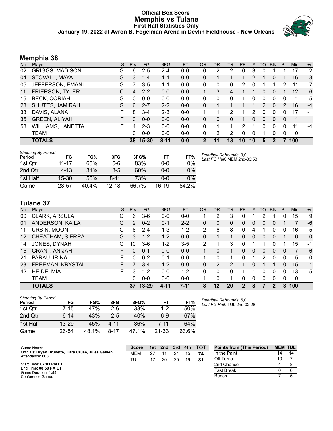### **Official Box Score Memphis vs Tulane First Half Statistics Only January 19, 2022 at Avron B. Fogelman Arena in Devlin Fieldhouse - New Orleans**



# **Memphis 38**

| No. | Player                   | S  | <b>Pts</b> | <b>FG</b> | 3FG      | <b>FT</b> | 0R | DR       | TR | <b>PF</b> | A  | TO       | <b>B</b> lk | Stl      | Min         | $+/-$ |
|-----|--------------------------|----|------------|-----------|----------|-----------|----|----------|----|-----------|----|----------|-------------|----------|-------------|-------|
| 02  | <b>GRIGGS, MADISON</b>   | G  | 6          | $2 - 5$   | 2-4      | $0-0$     | 0  | 2        | 2  | 0         | 3  | 0        |             |          | 17          | 2     |
| 04  | STOVALL, MAYA            | G  | 3.         | $1 - 4$   | $1 - 1$  | $0-0$     | 0  | 1        |    | 1         | 2  |          | 0           |          | 16          | 3     |
| 05  | JEFFERSON, EMANI         | G  |            | $3-5$     | 1-1      | $0-0$     | 0  | 0        | 0  | 2         | 0  |          |             | 2        | 11          | 7     |
| 11  | <b>FRIERSON, TYLER</b>   | C. | 4          | $2 - 2$   | $0 - 0$  | $0 - 0$   |    | 3        | 4  |           |    | 0        | 0           |          | 12          | 6     |
| 15  | <b>BECK, CORIAH</b>      | G  | 0          | $0 - 0$   | $0 - 0$  | $0 - 0$   | 0  | 0        | 0  |           | 0  | 0        | $\Omega$    | 0        | 1           | -5    |
| 23  | SHUTES, JAMIRAH          | G  | 6          | $2 - 7$   | $2 - 2$  | $0 - 0$   | 0  |          |    |           |    | 2        | $\Omega$    | 2        | 16          | $-4$  |
| 33  | DAVIS, ALANA             | F. | 8          | $3 - 4$   | $2 - 3$  | $0 - 0$   |    |          | 2  |           | 2  | 0        | $\Omega$    | 0        | 17          | -1    |
| 35  | <b>GREEN, ALIYAH</b>     | F  | 0          | $0 - 0$   | $0 - 0$  | $0 - 0$   | 0  | $\Omega$ | 0  |           | 0  | $\Omega$ | $\Omega$    | $\Omega$ | 1           | 1     |
| 53  | <b>WILLIAMS, LANETTA</b> | F. | 4          | $2 - 3$   | $0 - 0$  | $0 - 0$   | 0  | 1        |    | 2         | 1  | 0        | $\Omega$    | 0        | 11          | $-4$  |
|     | <b>TEAM</b>              |    | $\Omega$   | $0 - 0$   | $0 - 0$  | $0 - 0$   | 0  | 2        | 2  | $\Omega$  | 0  | 1        | $\Omega$    | 0        | $\mathbf 0$ |       |
|     | <b>TOTALS</b>            |    | 38         | $15 - 30$ | $8 - 11$ | $0 - 0$   | 2  | 11       | 13 | 10        | 10 | 5        |             |          | 100         |       |

| <b>Shooting By Period</b><br>Period | FG       | FG%   | 3FG       | 3FG%  | FT      | FT%   | Deadball Rebounds: 3,0<br>Last FG Half: MEM 2nd-03:53 |
|-------------------------------------|----------|-------|-----------|-------|---------|-------|-------------------------------------------------------|
| 1st Qtr                             | 11-17    | 65%   | $5-6$     | 83%   | 0-0     | 0%    |                                                       |
| 2nd Qtr                             | $4 - 13$ | 31%   | $3 - 5$   | 60%   | 0-0     | 0%    |                                                       |
| 1st Half                            | $15-30$  | 50%   | $8 - 11$  | 73%   | 0-0     | 0%    |                                                       |
| Game                                | 23-57    | 40.4% | $12 - 18$ | 66.7% | $16-19$ | 84.2% |                                                       |

# **Tulane 37**

|     | <b>TOTALS</b>           |    | 37             | $13 - 29$ | 4-11    | $7 - 11$ | 8         | 12        | 20 | $\mathbf 2$ | 8            |     | 2          | 3   | 100 |              |
|-----|-------------------------|----|----------------|-----------|---------|----------|-----------|-----------|----|-------------|--------------|-----|------------|-----|-----|--------------|
|     | <b>TEAM</b>             |    | 0              | $0 - 0$   | $0 - 0$ | $0 - 0$  |           | $\Omega$  |    | 0           | $\Omega$     | 0   | 0          | 0   | 0   |              |
| 42  | HEIDE, MIA              | F  | 3              | $1 - 2$   | $0 - 0$ | $1 - 2$  | 0         | 0         | 0  |             |              | 0   | 0          | 0   | 13  | 5            |
| 23  | FREEMAN, KRYSTAL        | F. |                | $3 - 4$   | $1-2$   | $0 - 0$  | 0         | 2         | 2  |             | 0            |     |            | 0   | 15  | $-1$         |
| 21  | PARAU, IRINA            | F  | 0              | $0 - 2$   | $0 - 1$ | $0 - 0$  | 1         | 0         | 1  | 0           | 4            | 2   | 0          | 0   | 5   | $\mathbf{0}$ |
| 15  | <b>GRANT, ANIJAH</b>    | F. | 0              | $0 - 1$   | $0 - 0$ | $0 - 0$  |           | 0         |    | 0           | $\mathbf{0}$ | 0   | 0          | 0   | 7   | -6           |
| 14  | JONES, DYNAH            | G  | 10             | $3-6$     | 1-2     | $3-5$    | 2         |           | 3  | ი           |              |     | 0          |     | 15  | -1           |
| 12  | <b>CHEATHAM, SIERRA</b> | G  | 3              | $1 - 2$   | $1-2$   | $0 - 0$  | 0         |           |    | 0           | $\mathbf{0}$ | 0   | 0          |     | 6   | $\mathbf{0}$ |
| 11  | URSIN, MOON             | G  | 6              | $2 - 4$   | 1-3     | $1 - 2$  | 2         | 6         | 8  | 0           | 4            |     | 0          | 0   | 16  | -5           |
| 01  | ANDERSON, KAILA         | G  | $\overline{2}$ | $0 - 2$   | $0 - 1$ | $2 - 2$  | 0         | 0         | 0  | 0           | 0            | 0   | 0          |     | 7   | -6           |
| 00  | CLARK, ARSULA           | G  | 6              | $3-6$     | $0-0$   | $0-0$    |           | 2         | 3  | 0           |              | 2   |            | 0   | 15  | 9            |
| No. | Plaver                  | S  | <b>Pts</b>     | FG        | 3FG     | FT       | <b>OR</b> | <b>DR</b> | TR | <b>PF</b>   | A            | TO. | <b>Blk</b> | Stl | Min | $+/-$        |
|     |                         |    |                |           |         |          |           |           |    |             |              |     |            |     |     |              |

| <b>Shooting By Period</b><br>Period | FG        | FG%   | 3FG     | 3FG%  | FТ        | FT%   |
|-------------------------------------|-----------|-------|---------|-------|-----------|-------|
| 1st Otr                             | 7-15      | 47%   | 2-6     | 33%   | $1 - 2$   | 50%   |
| 2nd Qtr                             | $6 - 14$  | 43%   | $2 - 5$ | 40%   | 6-9       | 67%   |
| 1st Half                            | $13 - 29$ | 45%   | 4-11    | 36%   | $7 - 11$  | 64%   |
| Game                                | 26-54     | 48.1% | 8-17    | 47.1% | $21 - 33$ | 63.6% |

*Deadball Rebounds:* 5,0 *Last FG Half:* TUL 2nd-02:28

| Game Notes:                                                              | Score      | 1st | 2nd | 3rd | 4th | <b>TOT</b> | <b>Points from (This Period)</b> | <b>MEM TUL</b> |  |
|--------------------------------------------------------------------------|------------|-----|-----|-----|-----|------------|----------------------------------|----------------|--|
| Officials: Bryan Brunette, Tiara Cruse, Jules Gallien<br>Attendance: 603 | <b>MEM</b> | 27  |     | 21  |     | 74         | In the Paint                     | 14             |  |
|                                                                          | TUL        |     | 20  | 25  | 19  | 81         | Off Turns                        | 10             |  |
| Start Time: 07:03 PM ET                                                  |            |     |     |     |     |            | 2nd Chance                       |                |  |
| End Time: 08:58 PM ET<br>Game Duration: 1:55                             |            |     |     |     |     |            | Fast Break                       |                |  |
| Conference Game:                                                         |            |     |     |     |     |            | Bench                            |                |  |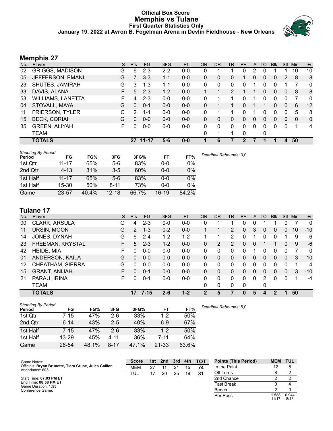### **Official Box Score Memphis vs Tulane First Quarter Statistics Only January 19, 2022 at Avron B. Fogelman Arena in Devlin Fieldhouse - New Orleans**



# **Memphis 27**

| No. | Player                   | S | <b>Pts</b>   | <b>FG</b> | 3FG     | <b>FT</b> | <b>OR</b>    | DR       | TR | <b>PF</b> | A            | TO       | <b>BIK</b> | Stl           | Min      | $+/-$          |
|-----|--------------------------|---|--------------|-----------|---------|-----------|--------------|----------|----|-----------|--------------|----------|------------|---------------|----------|----------------|
| 02  | <b>GRIGGS, MADISON</b>   | G | 6            | $2 - 3$   | $2 - 2$ | $0-0$     | 0            |          |    | 0         | 2            | 0        |            |               | 10       | 10             |
| 05  | JEFFERSON, EMANI         | G |              | $3 - 3$   | $1 - 1$ | $0 - 0$   | $\mathbf{0}$ | 0        | 0  |           | $\mathbf{0}$ | $\Omega$ | 0          | $\mathcal{P}$ | 8        | 8              |
| 23  | SHUTES, JAMIRAH          | G | 3            | $1 - 3$   | $1 - 1$ | $0-0$     | $\Omega$     | $\Omega$ | 0  | 0         |              | $\Omega$ | 0          |               |          | $\mathbf{0}$   |
| 33  | DAVIS, ALANA             | F | 5            | $2 - 3$   | $1 - 2$ | $0 - 0$   |              |          | 2  |           |              | 0        | $\Omega$   | $\mathbf{0}$  | 8        | 8              |
| 53  | <b>WILLIAMS, LANETTA</b> | F | 4            | $2 - 3$   | $0-0$   | $0-0$     | $\Omega$     |          | 1  | 0         |              | 0        | 0          | 0             |          | $\overline{0}$ |
| 04  | STOVALL, MAYA            | G | <sup>0</sup> | $0 - 1$   | $0-0$   | $0 - 0$   | 0            |          |    | 0         |              |          | 0          | 0             | 6        | 12             |
| 11  | FRIERSON, TYLER          | С | 2            | 1-1       | $0 - 0$ | $0 - 0$   | 0            |          |    | U         |              | 0        | 0          | 0             | 5        | 8              |
| 15  | <b>BECK, CORIAH</b>      | G | $\Omega$     | $0 - 0$   | $0 - 0$ | $0 - 0$   | $\Omega$     | 0        | 0  | 0         | 0            | $\Omega$ | 0          | $\mathbf{0}$  | $\Omega$ | $\mathbf{0}$   |
| 35  | <b>GREEN, ALIYAH</b>     | F | 0            | $0 - 0$   | $0-0$   | $0 - 0$   | 0            | 0        | 0  | 0         | 0            | $\Omega$ | 0          | 0             |          | 4              |
|     | <b>TEAM</b>              |   |              |           |         |           | $\Omega$     |          | 1  | 0         |              | 0        |            |               |          |                |
|     | <b>TOTALS</b>            |   | 27           | $11 - 17$ | $5 - 6$ | $0 - 0$   | 1            | 6        | 7  | 2         |              |          | 1          | 4             | 50       |                |

| <b>Shooting By Period</b><br>Period | FG        | FG%   | 3FG       | 3FG%  | FT      | FT%   | Deadball Rebounds: 3,0 |
|-------------------------------------|-----------|-------|-----------|-------|---------|-------|------------------------|
| 1st Qtr                             | 11-17     | 65%   | $5-6$     | 83%   | $0 - 0$ | 0%    |                        |
| 2nd Qtr                             | $4 - 13$  | 31%   | $3 - 5$   | 60%   | $0 - 0$ | 0%    |                        |
| 1st Half                            | $11 - 17$ | 65%   | $5-6$     | 83%   | $0 - 0$ | 0%    |                        |
| 1st Half                            | 15-30     | 50%   | $8 - 11$  | 73%   | $0 - 0$ | 0%    |                        |
| Game                                | $23 - 57$ | 40.4% | $12 - 18$ | 66.7% | $16-19$ | 84.2% |                        |

# **Tulane 17**

| No. | Player               | S  | <b>Pts</b>     | <b>FG</b> | 3FG     | <b>FT</b> | <b>OR</b>    | D <sub>R</sub> | TR.                   | <b>PF</b> | A        | TO       | <b>BIK</b> | Stl      | Min | $+/-$        |
|-----|----------------------|----|----------------|-----------|---------|-----------|--------------|----------------|-----------------------|-----------|----------|----------|------------|----------|-----|--------------|
| 00  | CLARK, ARSULA        | G  | 4              | $2 - 3$   | $0 - 0$ | $0-0$     | 0            |                |                       | 0         | 0        |          |            |          |     | 0            |
| 11  | URSIN, MOON          | G  | $\overline{2}$ | $1 - 3$   | $0 - 2$ | $0 - 0$   |              |                | $\mathbf{2}^{\prime}$ | 0         | 3        | 0        | 0          | 0        | 10  | $-10$        |
| 14  | JONES, DYNAH         | G  | 6              | $2 - 4$   | $1 - 2$ | $1 - 2$   |              |                | 2                     | 0         |          | 0        | 0          |          | 9   | -6           |
| 23  | FREEMAN, KRYSTAL     | F. | 5              | $2 - 3$   | $1 - 2$ | $0 - 0$   | $\mathbf{0}$ | 2              | 2                     | 0         | 0        |          |            | 0        | 9   | -6           |
| 42  | HEIDE, MIA           | F  | 0              | $0 - 0$   | $0 - 0$ | $0-0$     | 0            | 0              | 0                     | 0         |          | 0        | 0          | 0        |     | $\mathbf{0}$ |
| 01  | ANDERSON, KAILA      | G  | 0              | $0 - 0$   | $0 - 0$ | $0 - 0$   | $\Omega$     | 0              | 0                     | 0         | 0        | $\Omega$ | 0          | $\Omega$ | 3   | $-10$        |
| 12  | CHEATHAM, SIERRA     | G  | 0              | $0 - 0$   | $0 - 0$ | $0-0$     | 0            | 0              | 0                     | 0         | 0        | 0        | 0          | $\Omega$ |     | $-4$         |
| 15  | <b>GRANT, ANIJAH</b> | F. | 0              | $0 - 1$   | $0 - 0$ | $0 - 0$   | $\Omega$     | 0              | 0                     | 0         | $\Omega$ | $\Omega$ | 0          | $\Omega$ | 3   | $-10$        |
| 21  | PARAU, IRINA         | F  | 0              | $0 - 1$   | $0-0$   | $0-0$     | 0            | 0              | $\Omega$              | 0         | $\Omega$ | 2        | ∩          | $\Omega$ |     | -4           |
|     | <b>TEAM</b>          |    |                |           |         |           | 0            | $\mathbf{0}$   | 0                     | 0         |          | 0        |            |          |     |              |
|     | <b>TOTALS</b>        |    | 17             | $7 - 15$  | $2 - 6$ | $1 - 2$   | 2            | 5              |                       | 0         | 5        | 4        |            |          | 50  |              |

| <b>Shooting By Period</b><br>Period | FG        | FG%   | 3FG      | 3FG%  | FT        | FT%   | Deadball Rebounds: 5.0 |
|-------------------------------------|-----------|-------|----------|-------|-----------|-------|------------------------|
| 1st Qtr                             | 7-15      | 47%   | $2-6$    | 33%   | $1-2$     | 50%   |                        |
| 2nd Qtr                             | $6 - 14$  | 43%   | $2 - 5$  | 40%   | $6-9$     | 67%   |                        |
| 1st Half                            | 7-15      | 47%   | $2-6$    | 33%   | $1-2$     | 50%   |                        |
| 1st Half                            | $13 - 29$ | 45%   | $4 - 11$ | 36%   | 7-11      | 64%   |                        |
| Game                                | 26-54     | 48.1% | $8 - 17$ | 47.1% | $21 - 33$ | 63.6% |                        |

| Game Notes:                                                              | <b>Score</b> | 1st | 2nd | 3rd 4th |    | <b>- тот</b> | <b>Points (This Period)</b> | <b>MEM</b>    | <b>TUL</b>    |
|--------------------------------------------------------------------------|--------------|-----|-----|---------|----|--------------|-----------------------------|---------------|---------------|
| Officials: Bryan Brunette, Tiara Cruse, Jules Gallien<br>Attendance: 603 | <b>MEM</b>   | 27  |     | 21      | 15 | 74           | In the Paint                |               |               |
|                                                                          | TUL          |     | 20  | 25      | 19 | 81           | Off Turns                   |               |               |
| Start Time: 07:03 PM ET                                                  |              |     |     |         |    |              | 2nd Chance                  |               |               |
| End Time: 08:58 PM ET<br>Game Duration: 1:55                             |              |     |     |         |    |              | <b>Fast Break</b>           |               |               |
| Conference Game;                                                         |              |     |     |         |    |              | Bench                       |               |               |
|                                                                          |              |     |     |         |    |              | Per Poss                    | .588<br>11/17 | 0.944<br>8/18 |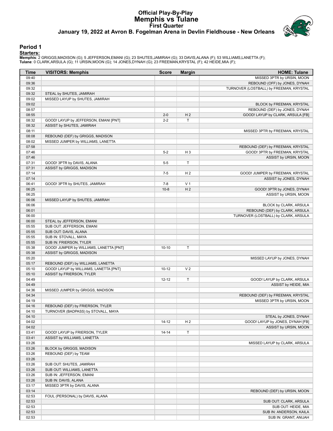# **Official Play-By-Play Memphis vs Tulane First Quarter January 19, 2022 at Avron B. Fogelman Arena in Devlin Fieldhouse - New Orleans**



### **Period 1**

<mark>Startersː</mark><br>Memphis: 2 GRIGGS,MADISON (G); 5 JEFFERSON,EMANI (G); 23 SHUTES,JAMIRAH (G); 33 DAVIS,ALANA (F); 53 WILLIAMS,LANETTA (F);<br>Tulane: 0 CLARK,ARSULA (G); 11 URSIN,MOON (G); 14 JONES,DYNAH (G); 23 FREEMAN,KRYSTAL (F

| Time  | <b>VISITORS: Memphis</b>                | <b>Score</b> | <b>Margin</b>  | <b>HOME: Tulane</b>                     |
|-------|-----------------------------------------|--------------|----------------|-----------------------------------------|
| 09:40 |                                         |              |                | MISSED 3PTR by URSIN, MOON              |
| 09:36 |                                         |              |                | REBOUND (OFF) by JONES, DYNAH           |
| 09:32 |                                         |              |                | TURNOVER (LOSTBALL) by FREEMAN, KRYSTAL |
| 09:32 | STEAL by SHUTES, JAMIRAH                |              |                |                                         |
| 09:02 | MISSED LAYUP by SHUTES, JAMIRAH         |              |                |                                         |
| 09:02 |                                         |              |                | BLOCK by FREEMAN, KRYSTAL               |
| 08:57 |                                         |              |                | REBOUND (DEF) by JONES, DYNAH           |
| 08:55 |                                         | $2 - 0$      | H <sub>2</sub> | GOOD! LAYUP by CLARK, ARSULA [FB]       |
| 08:32 | GOOD! LAYUP by JEFFERSON, EMANI [PNT]   | $2 - 2$      | Т              |                                         |
| 08:32 | ASSIST by SHUTES, JAMIRAH               |              |                |                                         |
| 08:11 |                                         |              |                | MISSED 3PTR by FREEMAN, KRYSTAL         |
| 08:08 | REBOUND (DEF) by GRIGGS, MADISON        |              |                |                                         |
| 08:02 | MISSED JUMPER by WILLIAMS, LANETTA      |              |                |                                         |
| 07:58 |                                         |              |                | REBOUND (DEF) by FREEMAN, KRYSTAL       |
| 07:46 |                                         | $5 - 2$      | $H_3$          | GOOD! 3PTR by FREEMAN, KRYSTAL          |
| 07:46 |                                         |              |                | ASSIST by URSIN, MOON                   |
| 07:31 | GOOD! 3PTR by DAVIS, ALANA              | $5-5$        | Т              |                                         |
| 07:31 | ASSIST by GRIGGS, MADISON               |              |                |                                         |
| 07:14 |                                         | $7 - 5$      | H <sub>2</sub> | GOOD! JUMPER by FREEMAN, KRYSTAL        |
| 07:14 |                                         |              |                | ASSIST by JONES, DYNAH                  |
| 06:41 | GOOD! 3PTR by SHUTES, JAMIRAH           | $7 - 8$      | V <sub>1</sub> |                                         |
| 06:25 |                                         | $10 - 8$     | H <sub>2</sub> | GOOD! 3PTR by JONES, DYNAH              |
| 06:25 |                                         |              |                | ASSIST by URSIN, MOON                   |
| 06:06 | MISSED LAYUP by SHUTES, JAMIRAH         |              |                |                                         |
| 06:06 |                                         |              |                | BLOCK by CLARK, ARSULA                  |
| 06:01 |                                         |              |                | REBOUND (DEF) by CLARK, ARSULA          |
| 06:00 |                                         |              |                | TURNOVER (LOSTBALL) by CLARK, ARSULA    |
| 06:00 | STEAL by JEFFERSON, EMANI               |              |                |                                         |
| 05:55 | SUB OUT: JEFFERSON, EMANI               |              |                |                                         |
| 05:55 | SUB OUT: DAVIS, ALANA                   |              |                |                                         |
| 05:55 | SUB IN: STOVALL, MAYA                   |              |                |                                         |
| 05:55 | SUB IN: FRIERSON, TYLER                 |              |                |                                         |
| 05:38 | GOOD! JUMPER by WILLIAMS, LANETTA [PNT] | $10-10$      | Т              |                                         |
| 05:38 | ASSIST by GRIGGS, MADISON               |              |                |                                         |
| 05:20 |                                         |              |                | MISSED LAYUP by JONES, DYNAH            |
| 05:17 | REBOUND (DEF) by WILLIAMS, LANETTA      |              |                |                                         |
| 05:10 | GOOD! LAYUP by WILLIAMS, LANETTA [PNT]  | $10 - 12$    | V <sub>2</sub> |                                         |
| 05:10 | ASSIST by FRIERSON, TYLER               |              |                |                                         |
| 04:49 |                                         | $12 - 12$    | T              | GOOD! LAYUP by CLARK, ARSULA            |
| 04:49 |                                         |              |                | ASSIST by HEIDE, MIA                    |
| 04:36 | MISSED JUMPER by GRIGGS, MADISON        |              |                |                                         |
| 04:34 |                                         |              |                | REBOUND (DEF) by FREEMAN, KRYSTAL       |
| 04:19 |                                         |              |                | MISSED 3PTR by URSIN, MOON              |
| 04:16 | REBOUND (DEF) by FRIERSON, TYLER        |              |                |                                         |
| 04:10 | TURNOVER (BADPASS) by STOVALL, MAYA     |              |                |                                         |
| 04:10 |                                         |              |                | STEAL by JONES, DYNAH                   |
| 04:02 |                                         | $14 - 12$    | H <sub>2</sub> | GOOD! LAYUP by JONES, DYNAH [FB]        |
| 04:02 |                                         |              |                | ASSIST by URSIN, MOON                   |
| 03:41 | GOOD! LAYUP by FRIERSON, TYLER          | $14 - 14$    | Τ              |                                         |
| 03:41 | ASSIST by WILLIAMS, LANETTA             |              |                |                                         |
| 03:26 |                                         |              |                | MISSED LAYUP by CLARK, ARSULA           |
| 03:26 | BLOCK by GRIGGS, MADISON                |              |                |                                         |
| 03:26 | REBOUND (DEF) by TEAM                   |              |                |                                         |
| 03:26 |                                         |              |                |                                         |
| 03:26 | SUB OUT: SHUTES, JAMIRAH                |              |                |                                         |
| 03:26 | SUB OUT: WILLIAMS, LANETTA              |              |                |                                         |
| 03:26 | SUB IN: JEFFERSON, EMANI                |              |                |                                         |
| 03:26 | SUB IN: DAVIS, ALANA                    |              |                |                                         |
| 03:17 | MISSED 3PTR by DAVIS, ALANA             |              |                |                                         |
| 03:14 |                                         |              |                | REBOUND (DEF) by URSIN, MOON            |
| 02:53 | FOUL (PERSONAL) by DAVIS, ALANA         |              |                |                                         |
| 02:53 |                                         |              |                | SUB OUT: CLARK, ARSULA                  |
| 02:53 |                                         |              |                | SUB OUT: HEIDE, MIA                     |
| 02:53 |                                         |              |                | SUB IN: ANDERSON, KAILA                 |
| 02:53 |                                         |              |                | SUB IN: GRANT, ANIJAH                   |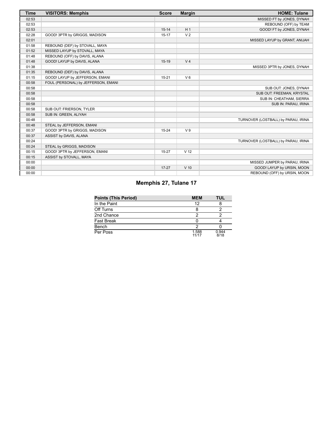| <b>Time</b> | <b>VISITORS: Memphis</b>            | <b>Score</b> | <b>Margin</b>   | <b>HOME: Tulane</b>                 |
|-------------|-------------------------------------|--------------|-----------------|-------------------------------------|
| 02:53       |                                     |              |                 | MISSED FT by JONES, DYNAH           |
| 02:53       |                                     |              |                 | REBOUND (OFF) by TEAM               |
| 02:53       |                                     | $15 - 14$    | H <sub>1</sub>  | GOOD! FT by JONES, DYNAH            |
| 02:28       | GOOD! 3PTR by GRIGGS, MADISON       | $15 - 17$    | V <sub>2</sub>  |                                     |
| 02:01       |                                     |              |                 | MISSED LAYUP by GRANT, ANIJAH       |
| 01:58       | REBOUND (DEF) by STOVALL, MAYA      |              |                 |                                     |
| 01:52       | MISSED LAYUP by STOVALL, MAYA       |              |                 |                                     |
| 01:48       | REBOUND (OFF) by DAVIS, ALANA       |              |                 |                                     |
| 01:48       | GOOD! LAYUP by DAVIS, ALANA         | $15-19$      | V <sub>4</sub>  |                                     |
| 01:38       |                                     |              |                 | MISSED 3PTR by JONES, DYNAH         |
| 01:35       | REBOUND (DEF) by DAVIS, ALANA       |              |                 |                                     |
| 01:15       | GOOD! LAYUP by JEFFERSON, EMANI     | $15 - 21$    | $V_6$           |                                     |
| 00:58       | FOUL (PERSONAL) by JEFFERSON, EMANI |              |                 |                                     |
| 00:58       |                                     |              |                 | SUB OUT: JONES, DYNAH               |
| 00:58       |                                     |              |                 | SUB OUT: FREEMAN, KRYSTAL           |
| 00:58       |                                     |              |                 | SUB IN: CHEATHAM, SIERRA            |
| 00:58       |                                     |              |                 | SUB IN: PARAU, IRINA                |
| 00:58       | SUB OUT: FRIERSON, TYLER            |              |                 |                                     |
| 00:58       | SUB IN: GREEN, ALIYAH               |              |                 |                                     |
| 00:48       |                                     |              |                 | TURNOVER (LOSTBALL) by PARAU, IRINA |
| 00:48       | STEAL by JEFFERSON, EMANI           |              |                 |                                     |
| 00:37       | GOOD! 3PTR by GRIGGS, MADISON       | $15 - 24$    | V <sub>9</sub>  |                                     |
| 00:37       | ASSIST by DAVIS, ALANA              |              |                 |                                     |
| 00:24       |                                     |              |                 | TURNOVER (LOSTBALL) by PARAU, IRINA |
| 00:24       | STEAL by GRIGGS, MADISON            |              |                 |                                     |
| 00:15       | GOOD! 3PTR by JEFFERSON, EMANI      | $15 - 27$    | V <sub>12</sub> |                                     |
| 00:15       | ASSIST by STOVALL, MAYA             |              |                 |                                     |
| 00:00       |                                     |              |                 | MISSED JUMPER by PARAU, IRINA       |
| 00:00       |                                     | $17 - 27$    | $V$ 10          | GOOD! LAYUP by URSIN, MOON          |
| 00:00       |                                     |              |                 | REBOUND (OFF) by URSIN, MOON        |

# **Memphis 27, Tulane 17**

| <b>Points (This Period)</b> | <b>MEM</b>     | TUL           |
|-----------------------------|----------------|---------------|
| In the Paint                | 12             |               |
| Off Turns                   |                |               |
| 2nd Chance                  |                |               |
| Fast Break                  |                |               |
| Bench                       |                |               |
| Per Poss                    | 1.588<br>11/17 | 0.944<br>8/18 |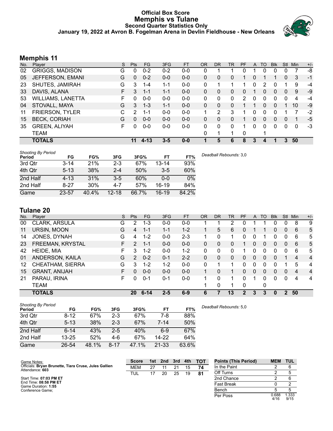### **Official Box Score Memphis vs Tulane Second Quarter Statistics Only January 19, 2022 at Avron B. Fogelman Arena in Devlin Fieldhouse - New Orleans**



# **Memphis 11**

| No. | Plaver                   | S  | <b>Pts</b> | FG.      | 3FG     | <b>FT</b> | <b>OR</b>    | <b>DR</b> | <b>TR</b> | PF | A        | <b>TO</b> | <b>Blk</b> | <b>Stl</b> | Min          | $+/-$ |
|-----|--------------------------|----|------------|----------|---------|-----------|--------------|-----------|-----------|----|----------|-----------|------------|------------|--------------|-------|
| 02  | <b>GRIGGS, MADISON</b>   | G  | 0          | $0 - 2$  | $0 - 2$ | $0-0$     | 0            |           |           | 0  |          | 0         | 0          | 0          |              | -8    |
| 05  | JEFFERSON, EMANI         | G  | $\Omega$   | $0 - 2$  | $0 - 0$ | $0-0$     | $\mathbf{0}$ | 0         | 0         |    | 0        |           |            | $\Omega$   | 3            | $-1$  |
| 23  | SHUTES, JAMIRAH          | G  | 3          | 1-4      | 1-1     | $0-0$     | 0            |           | 1         | 1  | 0        | 2         | 0          |            | 9            | -4    |
| 33  | DAVIS, ALANA             | F. | 3          | $1 - 1$  | $1 - 1$ | $0-0$     | $\Omega$     | 0         | $\Omega$  | 0  |          | $\Omega$  | $\Omega$   | $\Omega$   | 9            | -9    |
| 53  | <b>WILLIAMS, LANETTA</b> | F. | 0          | $0 - 0$  | $0 - 0$ | $0-0$     | $\Omega$     | 0         | 0         | 2  | 0        | $\Omega$  | 0          | $\Omega$   | 4            | $-4$  |
| 04  | STOVALL, MAYA            | G  | 3          | $1 - 3$  | $1 - 1$ | $0-0$     | $\mathbf{0}$ | 0         | 0         |    |          | 0         | 0          |            | 10           | -9    |
| 11  | <b>FRIERSON, TYLER</b>   | С  | 2          | 1-1      | $0 - 0$ | $0-0$     |              | 2         | 3         |    | 0        | 0         | 0          |            |              | $-2$  |
| 15  | <b>BECK, CORIAH</b>      | G  | $\Omega$   | $0 - 0$  | $0 - 0$ | $0 - 0$   | $\Omega$     | 0         | 0         |    | 0        | $\Omega$  | 0          | $\Omega$   |              | $-5$  |
| 35  | <b>GREEN, ALIYAH</b>     | F. | 0          | $0 - 0$  | $0-0$   | $0-0$     | 0            | 0         | 0         |    | $\Omega$ | 0         | 0          | 0          | $\mathbf{0}$ | $-3$  |
|     | <b>TEAM</b>              |    |            |          |         |           | 0            |           | 1         | 0  |          |           |            |            |              |       |
|     | <b>TOTALS</b>            |    | 11         | $4 - 13$ | $3 - 5$ | $0 - 0$   | 1            | 5         | 6         | 8  | 3        | 4         | 1          | 3          | 50           |       |

| <b>Shooting By Period</b><br>Period | FG       | FG%   | 3FG       | 3FG%  | FT        | FT%   | Deadball Rebounds: 3,0 |
|-------------------------------------|----------|-------|-----------|-------|-----------|-------|------------------------|
| 3rd Qtr                             | $3 - 14$ | 21%   | $2 - 3$   | 67%   | $13 - 14$ | 93%   |                        |
| 4th Qtr                             | $5 - 13$ | 38%   | $2 - 4$   | 50%   | $3 - 5$   | 60%   |                        |
| 2nd Half                            | $4 - 13$ | 31%   | $3 - 5$   | 60%   | $0 - 0$   | 0%    |                        |
| 2nd Half                            | $8 - 27$ | 30%   | 4-7       | 57%   | $16-19$   | 84%   |                        |
| Game                                | 23-57    | 40.4% | $12 - 18$ | 66.7% | $16-19$   | 84.2% |                        |

# **Tulane 20**

| No. | Player               | S  | <b>Pts</b>     | <b>FG</b> | 3FG     | <b>FT</b> | 0R           | DR | <b>TR</b>    | <b>PF</b> | A | TO       | <b>B</b> lk | Stl           | Min | $+/-$          |
|-----|----------------------|----|----------------|-----------|---------|-----------|--------------|----|--------------|-----------|---|----------|-------------|---------------|-----|----------------|
| 00  | CLARK, ARSULA        | G  | 2              | 1-3       | $0-0$   | $0-0$     |              |    | 2            | 0         |   |          | 0           | 0             | 8   | 9              |
| 11  | URSIN, MOON          | G  | 4              | 1-1       | $1 - 1$ | $1 - 2$   |              | 5  | 6            | O         |   |          | 0           | 0             | 6   | 5              |
| 14  | JONES, DYNAH         | G  | 4              | $1 - 2$   | $0 - 0$ | $2 - 3$   |              | 0  | 1            | 0         | 0 |          | 0           | 0             | 6   | 5              |
| 23  | FREEMAN, KRYSTAL     | F. | $\overline{2}$ | $1 - 1$   | $0 - 0$ | $0 - 0$   | $\Omega$     | 0  | 0            |           | 0 | 0        | 0           | 0             | 6   | 5              |
| 42  | HEIDE, MIA           | F. | 3              | $1 - 2$   | $0 - 0$ | $1 - 2$   | 0            | 0  | 0            |           | 0 | 0        | 0           | 0             | 6   | 5              |
| 01  | ANDERSON, KAILA      | G  | $\overline{2}$ | $0 - 2$   | $0 - 1$ | $2 - 2$   | $\mathbf{0}$ | 0  | $\mathbf{0}$ | 0         | 0 | $\Omega$ | 0           |               | 4   | $\overline{4}$ |
| 12  | CHEATHAM, SIERRA     | G  | 3              | $1 - 2$   | $1 - 2$ | $0-0$     | 0            |    | 1            | 0         | 0 | 0        | 0           |               | 5   | 4              |
| 15  | <b>GRANT, ANIJAH</b> | F. | 0              | $0 - 0$   | $0 - 0$ | $0 - 0$   |              | 0  | 1            | 0         | 0 | $\Omega$ | 0           | $\Omega$      | 4   | $\overline{4}$ |
| 21  | PARAU, IRINA         | F  | 0              | $0 - 1$   | $0 - 1$ | $0 - 0$   |              | 0  | 1            | 0         |   | 0        | 0           | $\Omega$      | 4   | 4              |
|     | <b>TEAM</b>          |    |                |           |         |           |              | 0  | 1            | 0         |   | 0        |             |               |     |                |
|     | <b>TOTALS</b>        |    | 20             | $6 - 14$  | $2 - 5$ | $6-9$     | 6            | 7  | 13           | 2         | 3 | 3        | $\bf{0}$    | $\mathcal{P}$ | 50  |                |

| <b>Shooting By Period</b><br>Period | FG        | FG%   | 3FG      | 3FG%  | FT        | FT%   | Deadball Rebounds: 5.0 |
|-------------------------------------|-----------|-------|----------|-------|-----------|-------|------------------------|
| 3rd Qtr                             | $8 - 12$  | 67%   | $2 - 3$  | 67%   | 7-8       | 88%   |                        |
| 4th Qtr                             | $5 - 13$  | 38%   | $2 - 3$  | 67%   | 7-14      | 50%   |                        |
| 2nd Half                            | $6 - 14$  | 43%   | $2 - 5$  | 40%   | $6-9$     | 67%   |                        |
| 2nd Half                            | $13 - 25$ | 52%   | 4-6      | 67%   | 14-22     | 64%   |                        |
| Game                                | 26-54     | 48.1% | $8 - 17$ | 47.1% | $21 - 33$ | 63.6% |                        |

| Game Notes:                                                              | <b>Score</b> |    | 1st 2nd | 3rd | 4th | <b>TOT</b> | <b>Points (This Period)</b> | <b>MEM</b>    | <b>TUL</b>    |
|--------------------------------------------------------------------------|--------------|----|---------|-----|-----|------------|-----------------------------|---------------|---------------|
| Officials: Bryan Brunette, Tiara Cruse, Jules Gallien<br>Attendance: 603 | <b>MEM</b>   | 27 |         |     | 15  | 74         | In the Paint                |               |               |
|                                                                          | TUL          |    | 20      | 25  | 19  | 81         | Off Turns                   |               |               |
| Start Time: 07:03 PM ET                                                  |              |    |         |     |     |            | 2nd Chance                  |               |               |
| End Time: 08:58 PM ET<br>Game Duration: 1:55                             |              |    |         |     |     |            | <b>Fast Break</b>           |               |               |
| Conference Game;                                                         |              |    |         |     |     |            | Bench                       |               |               |
|                                                                          |              |    |         |     |     |            | Per Poss                    | 0.688<br>4/16 | 1.333<br>9/15 |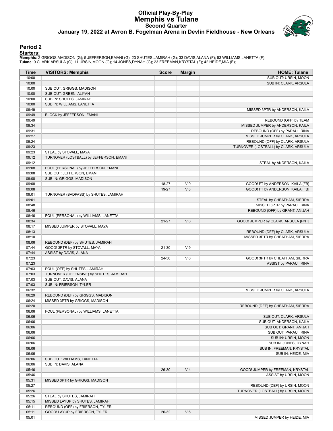# **Official Play-By-Play Memphis vs Tulane Second Quarter January 19, 2022 at Avron B. Fogelman Arena in Devlin Fieldhouse - New Orleans**



### **Period 2**

<mark>Startersː</mark><br>Memphis: 2 GRIGGS,MADISON (G); 5 JEFFERSON,EMANI (G); 23 SHUTES,JAMIRAH (G); 33 DAVIS,ALANA (F); 53 WILLIAMS,LANETTA (F);<br>Tulane: 0 CLARK,ARSULA (G); 11 URSIN,MOON (G); 14 JONES,DYNAH (G); 23 FREEMAN,KRYSTAL (F

| Time           | <b>VISITORS: Memphis</b>                                                 | <b>Score</b> | <b>Margin</b>  | <b>HOME: Tulane</b>                  |
|----------------|--------------------------------------------------------------------------|--------------|----------------|--------------------------------------|
| 10:00          |                                                                          |              |                | SUB OUT: URSIN, MOON                 |
| 10:00          |                                                                          |              |                | SUB IN: CLARK, ARSULA                |
| 10:00          | SUB OUT: GRIGGS, MADISON                                                 |              |                |                                      |
| 10:00          | SUB OUT: GREEN, ALIYAH                                                   |              |                |                                      |
| 10:00          | SUB IN: SHUTES, JAMIRAH                                                  |              |                |                                      |
| 10:00          | SUB IN: WILLIAMS, LANETTA                                                |              |                |                                      |
| 09:49          |                                                                          |              |                | MISSED 3PTR by ANDERSON, KAILA       |
| 09:49          | <b>BLOCK by JEFFERSON, EMANI</b>                                         |              |                |                                      |
| 09:49          |                                                                          |              |                | REBOUND (OFF) by TEAM                |
| 09:34          |                                                                          |              |                | MISSED JUMPER by ANDERSON, KAILA     |
| 09:31          |                                                                          |              |                | REBOUND (OFF) by PARAU, IRINA        |
| 09:27          |                                                                          |              |                | MISSED JUMPER by CLARK, ARSULA       |
| 09:24          |                                                                          |              |                | REBOUND (OFF) by CLARK, ARSULA       |
| 09:23          |                                                                          |              |                | TURNOVER (LOSTBALL) by CLARK, ARSULA |
| 09:23          | STEAL by STOVALL, MAYA                                                   |              |                |                                      |
| 09:12          | TURNOVER (LOSTBALL) by JEFFERSON, EMANI                                  |              |                |                                      |
| 09:12          |                                                                          |              |                | STEAL by ANDERSON, KAILA             |
| 09:08          | FOUL (PERSONAL) by JEFFERSON, EMANI                                      |              |                |                                      |
| 09:08          | SUB OUT: JEFFERSON, EMANI                                                |              |                |                                      |
| 09:08          | SUB IN: GRIGGS, MADISON                                                  |              |                |                                      |
| 09:08          |                                                                          | 18-27        | V <sub>9</sub> | GOOD! FT by ANDERSON, KAILA [FB]     |
| 09:08          |                                                                          | 19-27        | V8             | GOOD! FT by ANDERSON, KAILA [FB]     |
| 09:01          | TURNOVER (BADPASS) by SHUTES, JAMIRAH                                    |              |                |                                      |
| 09:01          |                                                                          |              |                | STEAL by CHEATHAM, SIERRA            |
| 08:48          |                                                                          |              |                | MISSED 3PTR by PARAU, IRINA          |
| 08:46          |                                                                          |              |                | REBOUND (OFF) by GRANT, ANIJAH       |
| 08:46          | FOUL (PERSONAL) by WILLIAMS, LANETTA                                     |              |                |                                      |
| 08:34          |                                                                          | $21 - 27$    | $V_6$          | GOOD! JUMPER by CLARK, ARSULA [PNT]  |
| 08:17          | MISSED JUMPER by STOVALL, MAYA                                           |              |                |                                      |
| 08:13          |                                                                          |              |                | REBOUND (DEF) by CLARK, ARSULA       |
| 08:10          |                                                                          |              |                | MISSED 3PTR by CHEATHAM, SIERRA      |
| 08:06          | REBOUND (DEF) by SHUTES, JAMIRAH                                         |              |                |                                      |
| 07:44          | GOOD! 3PTR by STOVALL, MAYA                                              | 21-30        | V <sub>9</sub> |                                      |
| 07:44          | ASSIST by DAVIS, ALANA                                                   |              |                |                                      |
| 07:23          |                                                                          | 24-30        | $V_6$          | GOOD! 3PTR by CHEATHAM, SIERRA       |
| 07:23          |                                                                          |              |                | ASSIST by PARAU, IRINA               |
| 07:03          | FOUL (OFF) by SHUTES, JAMIRAH<br>TURNOVER (OFFENSIVE) by SHUTES, JAMIRAH |              |                |                                      |
| 07:03          |                                                                          |              |                |                                      |
| 07:03<br>07:03 | SUB OUT: DAVIS, ALANA                                                    |              |                |                                      |
| 06:32          | SUB IN: FRIERSON, TYLER                                                  |              |                |                                      |
| 06:29          | REBOUND (DEF) by GRIGGS, MADISON                                         |              |                | MISSED JUMPER by CLARK, ARSULA       |
| 06:24          | MISSED 3PTR by GRIGGS, MADISON                                           |              |                |                                      |
| 06:20          |                                                                          |              |                | REBOUND (DEF) by CHEATHAM, SIERRA    |
| 06:06          | FOUL (PERSONAL) by WILLIAMS, LANETTA                                     |              |                |                                      |
| 06:06          |                                                                          |              |                | SUB OUT: CLARK, ARSULA               |
| 06:06          |                                                                          |              |                | SUB OUT: ANDERSON, KAILA             |
| 06:06          |                                                                          |              |                | SUB OUT: GRANT, ANIJAH               |
| 06:06          |                                                                          |              |                | SUB OUT: PARAU, IRINA                |
| 06:06          |                                                                          |              |                | SUB IN: URSIN, MOON                  |
| 06:06          |                                                                          |              |                | SUB IN: JONES, DYNAH                 |
| 06:06          |                                                                          |              |                | SUB IN: FREEMAN, KRYSTAL             |
| 06:06          |                                                                          |              |                | SUB IN: HEIDE, MIA                   |
| 06:06          | SUB OUT: WILLIAMS, LANETTA                                               |              |                |                                      |
| 06:06          | SUB IN: DAVIS, ALANA                                                     |              |                |                                      |
| 05:46          |                                                                          | 26-30        | V <sub>4</sub> | GOOD! JUMPER by FREEMAN, KRYSTAL     |
| 05:46          |                                                                          |              |                | ASSIST by URSIN, MOON                |
| 05:31          | MISSED 3PTR by GRIGGS, MADISON                                           |              |                |                                      |
| 05:27          |                                                                          |              |                | REBOUND (DEF) by URSIN, MOON         |
| 05:26          |                                                                          |              |                | TURNOVER (LOSTBALL) by URSIN, MOON   |
| 05:26          | STEAL by SHUTES, JAMIRAH                                                 |              |                |                                      |
| 05:15          | MISSED LAYUP by SHUTES, JAMIRAH                                          |              |                |                                      |
| 05:11          | REBOUND (OFF) by FRIERSON, TYLER                                         |              |                |                                      |
| 05:11          | GOOD! LAYUP by FRIERSON, TYLER                                           | 26-32        | $V_6$          |                                      |
| 05:01          |                                                                          |              |                | MISSED JUMPER by HEIDE, MIA          |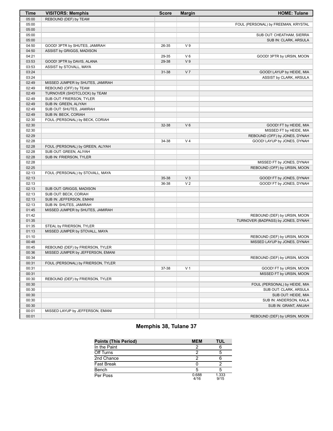| <b>Time</b> | <b>VISITORS: Memphis</b>           | <b>Score</b> | <b>Margin</b>  | <b>HOME: Tulane</b>                 |
|-------------|------------------------------------|--------------|----------------|-------------------------------------|
| 05:00       | REBOUND (DEF) by TEAM              |              |                |                                     |
| 05:00       |                                    |              |                | FOUL (PERSONAL) by FREEMAN, KRYSTAL |
| 05:00       |                                    |              |                |                                     |
| 05:00       |                                    |              |                | SUB OUT: CHEATHAM, SIERRA           |
| 05:00       |                                    |              |                | SUB IN: CLARK, ARSULA               |
| 04:50       | GOOD! 3PTR by SHUTES, JAMIRAH      | 26-35        | V <sub>9</sub> |                                     |
| 04:50       | ASSIST by GRIGGS, MADISON          |              |                |                                     |
| 04:21       |                                    | 29-35        | $V_6$          | GOOD! 3PTR by URSIN, MOON           |
| 03:53       | GOOD! 3PTR by DAVIS, ALANA         | 29-38        | V <sub>9</sub> |                                     |
| 03:53       | ASSIST by STOVALL, MAYA            |              |                |                                     |
| 03:24       |                                    | 31-38        | V <sub>7</sub> | GOOD! LAYUP by HEIDE, MIA           |
| 03:24       |                                    |              |                | ASSIST by CLARK, ARSULA             |
| 02:49       | MISSED JUMPER by SHUTES, JAMIRAH   |              |                |                                     |
| 02:49       | REBOUND (OFF) by TEAM              |              |                |                                     |
| 02:49       | TURNOVER (SHOTCLOCK) by TEAM       |              |                |                                     |
| 02:49       | SUB OUT: FRIERSON, TYLER           |              |                |                                     |
| 02:49       | SUB IN: GREEN, ALIYAH              |              |                |                                     |
| 02:49       | SUB OUT: SHUTES, JAMIRAH           |              |                |                                     |
| 02:49       | SUB IN: BECK, CORIAH               |              |                |                                     |
| 02:30       | FOUL (PERSONAL) by BECK, CORIAH    |              |                |                                     |
| 02:30       |                                    | 32-38        | $V_6$          | GOOD! FT by HEIDE, MIA              |
| 02:30       |                                    |              |                | MISSED FT by HEIDE, MIA             |
| 02:29       |                                    |              |                | REBOUND (OFF) by JONES, DYNAH       |
| 02:28       |                                    | 34-38        | V <sub>4</sub> | GOOD! LAYUP by JONES, DYNAH         |
| 02:28       | FOUL (PERSONAL) by GREEN, ALIYAH   |              |                |                                     |
| 02:28       | SUB OUT: GREEN, ALIYAH             |              |                |                                     |
| 02:28       | SUB IN: FRIERSON, TYLER            |              |                |                                     |
| 02:28       |                                    |              |                | MISSED FT by JONES, DYNAH           |
| 02:25       |                                    |              |                | REBOUND (OFF) by URSIN, MOON        |
| 02:13       | FOUL (PERSONAL) by STOVALL, MAYA   |              |                |                                     |
| 02:13       |                                    | 35-38        | $V_3$          | GOOD! FT by JONES, DYNAH            |
| 02:13       |                                    | 36-38        | V <sub>2</sub> | GOOD! FT by JONES, DYNAH            |
| 02:13       | SUB OUT: GRIGGS, MADISON           |              |                |                                     |
| 02:13       | SUB OUT: BECK, CORIAH              |              |                |                                     |
| 02:13       | SUB IN: JEFFERSON, EMANI           |              |                |                                     |
| 02:13       | SUB IN: SHUTES, JAMIRAH            |              |                |                                     |
| 01:45       | MISSED JUMPER by SHUTES, JAMIRAH   |              |                |                                     |
| 01:42       |                                    |              |                | REBOUND (DEF) by URSIN, MOON        |
| 01:35       |                                    |              |                | TURNOVER (BADPASS) by JONES, DYNAH  |
| 01:35       | STEAL by FRIERSON, TYLER           |              |                |                                     |
| 01:13       | MISSED JUMPER by STOVALL, MAYA     |              |                |                                     |
| 01:10       |                                    |              |                | REBOUND (DEF) by URSIN, MOON        |
| 00:48       |                                    |              |                | MISSED LAYUP by JONES, DYNAH        |
| 00:45       | REBOUND (DEF) by FRIERSON, TYLER   |              |                |                                     |
| 00:36       | MISSED JUMPER by JEFFERSON, EMANI  |              |                |                                     |
| 00:34       |                                    |              |                | REBOUND (DEF) by URSIN, MOON        |
| 00:31       | FOUL (PERSONAL) by FRIERSON, TYLER |              |                |                                     |
| 00:31       |                                    | 37-38        | V <sub>1</sub> | GOOD! FT by URSIN, MOON             |
| 00:31       |                                    |              |                | MISSED FT by URSIN, MOON            |
| 00:30       | REBOUND (DEF) by FRIERSON, TYLER   |              |                |                                     |
| 00:30       |                                    |              |                | FOUL (PERSONAL) by HEIDE, MIA       |
| 00:30       |                                    |              |                | SUB OUT: CLARK, ARSULA              |
| 00:30       |                                    |              |                | SUB OUT: HEIDE, MIA                 |
| 00:30       |                                    |              |                | SUB IN: ANDERSON, KAILA             |
| 00:30       |                                    |              |                | SUB IN: GRANT, ANIJAH               |
| 00:01       | MISSED LAYUP by JEFFERSON, EMANI   |              |                |                                     |
| 00:01       |                                    |              |                | REBOUND (DEF) by URSIN, MOON        |
|             |                                    |              |                |                                     |

# **Memphis 38, Tulane 37**

| <b>Points (This Period)</b> | <b>MEM</b>    | TUL           |
|-----------------------------|---------------|---------------|
| In the Paint                |               |               |
| Off Turns                   |               |               |
| 2nd Chance                  |               |               |
| <b>Fast Break</b>           |               |               |
| Bench                       |               |               |
| Per Poss                    | 0.688<br>4/16 | 1.333<br>9/15 |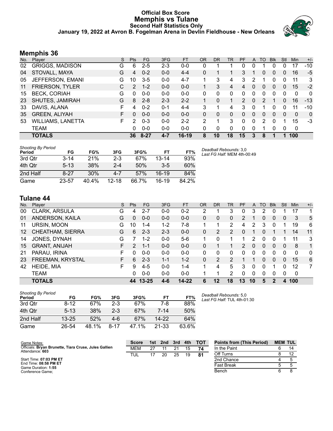# **Official Box Score Memphis vs Tulane Second Half Statistics Only January 19, 2022 at Avron B. Fogelman Arena in Devlin Fieldhouse - New Orleans**



# **Memphis 36**

| No. | Plaver                   | S  | <b>Pts</b>    | FG       | 3FG     | <b>FT</b> | <b>OR</b> | <b>DR</b> | TR       | PF             | A        | TO       | <b>B</b> lk | Stl      | Min         | $+/-$        |
|-----|--------------------------|----|---------------|----------|---------|-----------|-----------|-----------|----------|----------------|----------|----------|-------------|----------|-------------|--------------|
| 02  | <b>GRIGGS, MADISON</b>   | G  | 6             | $2 - 5$  | $2 - 3$ | $0 - 0$   | 0         |           |          | 0              | 0        |          |             | 0        | 17          | $-10$        |
| 04  | STOVALL, MAYA            | G  | 4             | $0 - 2$  | $0 - 0$ | $4 - 4$   | 0         |           |          | 3              |          | 0        | 0           | 0        | 16          | $-5$         |
| 05  | JEFFERSON, EMANI         | G  | 10            | $3-5$    | $0 - 0$ | $4 - 7$   |           | 3         | 4        | 3              | 2        |          | 0           | 0        | 11          | 3            |
| 11  | <b>FRIERSON, TYLER</b>   | С  | $\mathcal{P}$ | $1 - 2$  | $0 - 0$ | $0 - 0$   |           | 3         | 4        | 4              | 0        | 0        | 0           | 0        | 15          | $-2$         |
| 15  | <b>BECK, CORIAH</b>      | G  | 0             | $0 - 0$  | $0 - 0$ | $0 - 0$   | 0         | 0         | 0        | 0              | 0        | 0        | 0           | 0        | 0           | $\mathbf{0}$ |
| 23  | <b>SHUTES, JAMIRAH</b>   | G  | 8             | $2 - 8$  | $2 - 3$ | $2 - 2$   |           | 0         |          | $\overline{2}$ | 0        | 2        |             | 0        | 16          | $-13$        |
| 33  | DAVIS, ALANA             | F  | 4             | $0 - 2$  | $0 - 1$ | $4 - 4$   | 3         |           | 4        | 3              | 0        |          | 0           | 0        | 11          | $-10$        |
| 35  | <b>GREEN, ALIYAH</b>     | F. | 0             | $0 - 0$  | $0 - 0$ | $0 - 0$   | 0         | $\Omega$  | $\Omega$ | 0              | 0        | $\Omega$ | $\Omega$    | $\Omega$ | $\Omega$    | $\mathbf{0}$ |
| 53  | <b>WILLIAMS, LANETTA</b> | F. | 2             | $0 - 3$  | $0 - 0$ | $2 - 2$   | 2         | 1         | 3        | 0              | 0        | 2        | $\Omega$    | 1        | 15          | -3           |
|     | <b>TEAM</b>              |    | 0             | $0 - 0$  | $0 - 0$ | $0 - 0$   | 0         | 0         | $\Omega$ | 0              | $\Omega$ |          | $\Omega$    | 0        | $\mathbf 0$ |              |
|     | <b>TOTALS</b>            |    | 36            | $8 - 27$ | 4-7     | 16-19     | 8         | 10        | 18       | 15             | 3        | 8        |             | 1        | 100         |              |

| <b>Shooting By Period</b><br>Period | FG       | FG%   | 3FG       | 3FG%  | FТ        | FT%   | Deadball Rebounds: 3,0<br>Last FG Half: MEM 4th-00:49 |
|-------------------------------------|----------|-------|-----------|-------|-----------|-------|-------------------------------------------------------|
| 3rd Qtr                             | $3 - 14$ | 21%   | $2 - 3$   | 67%   | $13 - 14$ | 93%   |                                                       |
| 4th Qtr                             | $5 - 13$ | 38%   | $2 - 4$   | 50%   | $3-5$     | 60%   |                                                       |
| 2nd Half                            | $8 - 27$ | 30%   | $4 - 7$   | 57%   | $16-19$   | 84%   |                                                       |
| Game                                | 23-57    | 40.4% | $12 - 18$ | 66.7% | $16-19$   | 84.2% |                                                       |

# **Tulane 44**

| No. | Plaver               | S  | <b>Pts</b>    | <b>FG</b> | 3FG     | <b>FT</b> | <b>OR</b> | <b>DR</b> | <b>TR</b> | PF             | A        | TO | <b>B</b> lk | Stl | Min | $+/-$ |
|-----|----------------------|----|---------------|-----------|---------|-----------|-----------|-----------|-----------|----------------|----------|----|-------------|-----|-----|-------|
| 00  | <b>CLARK, ARSULA</b> | G  | 4             | $2 - 7$   | $0 - 0$ | $0 - 2$   | 2         |           | 3         | 0              | 3        | 2  |             |     | 17  |       |
| 01  | ANDERSON, KAILA      | G  | 0             | $0 - 0$   | $0 - 0$ | $0 - 0$   | 0         | 0         | 0         | $\overline{2}$ |          | 0  | 0           | 0   | 3   | 5     |
| 11  | URSIN, MOON          | G  | 10            | $1 - 4$   | $1 - 2$ | $7-8$     |           |           | 2         | 4              | 2        | 3  | 0           |     | 19  | 6     |
| 12  | CHEATHAM, SIERRA     | G  | 6             | $2 - 3$   | $2 - 3$ | $0 - 0$   | 0         | 2         | 2         | 0              |          | 0  |             |     | 14  | 11    |
| 14  | JONES, DYNAH         | G  |               | $1 - 2$   | $0 - 0$ | $5-6$     |           | 0         |           |                | 2        | 0  | 0           |     | 11  | 3     |
| 15  | <b>GRANT, ANIJAH</b> |    | $\mathcal{P}$ | $1 - 1$   | $0 - 0$ | $0 - 0$   | 0         |           |           | $\mathcal{P}$  | 0        | 0  | $\Omega$    | 0   | 8   | 1     |
| 21  | PARAU, IRINA         | F  | 0             | $0 - 0$   | $0 - 0$ | $0 - 0$   | 0         | 0         | 0         | 0              | $\Omega$ | 0  | 0           | 0   | 0   | 0     |
| 23  | FREEMAN, KRYSTAL     | F. | 6             | $2 - 3$   | $1 - 1$ | $1 - 2$   | 0         | 2         | 2         |                |          | 0  | $\Omega$    | 0   | 15  | 6     |
| 42  | HEIDE, MIA           | F  | 9             | $4 - 5$   | $0 - 0$ | 1-4       |           | 4         | 5         | 3              | $\Omega$ | 0  |             | 0   | 12  | 7     |
|     | <b>TEAM</b>          |    | 0             | $0 - 0$   | $0 - 0$ | $0 - 0$   |           | 1         | 2         | $\Omega$       | 0        | 0  | 0           | 0   | 0   |       |
|     | <b>TOTALS</b>        |    | 44            | $13 - 25$ | 4-6     | $14 - 22$ | 6         | 12        | 18        | 13             | 10       | 5  |             | 4   | 100 |       |

| <b>Shooting By Period</b><br>Period | FG        | FG%   | 3FG   | 3FG%  | FT    | FT%   |
|-------------------------------------|-----------|-------|-------|-------|-------|-------|
| 3rd Otr                             | $8-12$    | 67%   | $2-3$ | 67%   | 7-8   | 88%   |
| 4th Qtr                             | $5 - 13$  | 38%   | $2-3$ | 67%   | 7-14  | 50%   |
| 2nd Half                            | $13 - 25$ | 52%   | 4-6   | 67%   | 14-22 | 64%   |
| Game                                | 26-54     | 48.1% | 8-17  | 47 1% | 21-33 | 63.6% |

*Deadball Rebounds:* 5,0 *Last FG Half:* TUL 4th-01:30

| Game Notes:                                                              | <b>Score</b> | 1st l | 2nd | 3rd | 4th | <b>TOT</b> | <b>Points from (This Period)</b> | <b>MEM TUL</b> |
|--------------------------------------------------------------------------|--------------|-------|-----|-----|-----|------------|----------------------------------|----------------|
| Officials: Bryan Brunette, Tiara Cruse, Jules Gallien<br>Attendance: 603 | <b>MEM</b>   | 27    |     | 21  | 15  |            | In the Paint                     | 14             |
|                                                                          | TUL          |       | 20  | 25  | 19  | 81         | Off Turns                        |                |
| Start Time: 07:03 PM ET                                                  |              |       |     |     |     |            | 2nd Chance                       |                |
| End Time: 08:58 PM ET<br>Game Duration: 1:55                             |              |       |     |     |     |            | Fast Break                       |                |
| Conference Game:                                                         |              |       |     |     |     |            | Bench                            |                |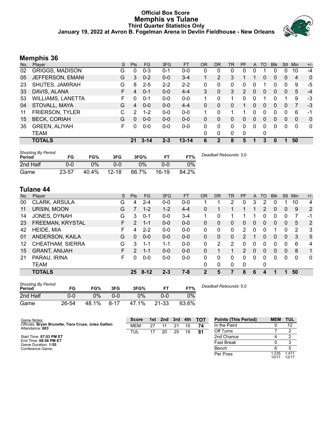### **Official Box Score Memphis vs Tulane Third Quarter Statistics Only January 19, 2022 at Avron B. Fogelman Arena in Devlin Fieldhouse - New Orleans**



# **Memphis 36**

| No. | Plaver                   | S  | Pts      | <b>FG</b> | 3FG     | <b>FT</b> | <b>OR</b>    | <b>DR</b>      | <b>TR</b>    | PF | A        | <b>TO</b> | <b>Blk</b> | <b>Stl</b>   | Min      | $+/-$        |
|-----|--------------------------|----|----------|-----------|---------|-----------|--------------|----------------|--------------|----|----------|-----------|------------|--------------|----------|--------------|
| 02  | <b>GRIGGS, MADISON</b>   | G  | 0        | $0 - 3$   | $0 - 1$ | $0-0$     | 0            | 0              | 0            | 0  | 0        |           | 0          | 0            | 10       | $-4$         |
| 05  | JEFFERSON, EMANI         | G  | 3        | $0 - 2$   | $0 - 0$ | $3 - 4$   |              | $\overline{2}$ | 3            |    |          | 0         | 0          | $\mathbf{0}$ | 4        | $\mathbf{0}$ |
| 23  | SHUTES, JAMIRAH          | G  | 8        | $2 - 5$   | $2 - 2$ | $2 - 2$   | $\Omega$     | 0              | 0            | 0  | 0        |           | 0          | 0            | 9        | -5           |
| 33  | DAVIS, ALANA             | F. | 4        | $0 - 1$   | $0 - 0$ | $4 - 4$   | 3            | 0              | 3            | 2  | $\Omega$ | $\Omega$  | $\Omega$   | $\Omega$     | 5        | $-4$         |
| 53  | <b>WILLIAMS, LANETTA</b> | F  | 0        | $0 - 1$   | $0 - 0$ | $0-0$     | 1            | 0              | 1            | 0  | 0        |           | 0          |              | 9        | $-3$         |
| 04  | STOVALL, MAYA            | G  | 4        | $0 - 0$   | $0 - 0$ | $4 - 4$   | $\mathbf{0}$ | 0              | 0            |    | 0        | $\Omega$  | 0          | $\Omega$     |          | $-3$         |
| 11  | <b>FRIERSON, TYLER</b>   | С  | 2        | $1 - 2$   | $0 - 0$ | $0-0$     |              | 0              | 1            |    | 0        | 0         | 0          | 0            | 6        | -1           |
| 15  | <b>BECK, CORIAH</b>      | G  | $\Omega$ | $0 - 0$   | $0 - 0$ | $0 - 0$   | $\Omega$     | 0              | $\mathbf{0}$ | 0  | 0        | $\Omega$  | 0          | $\Omega$     | $\Omega$ | $\mathbf{0}$ |
| 35  | <b>GREEN, ALIYAH</b>     | F. | 0        | $0 - 0$   | $0-0$   | $0-0$     | $\Omega$     | 0              | $\Omega$     | 0  | $\Omega$ | $\Omega$  | 0          | 0            | $\Omega$ | $\mathbf{0}$ |
|     | <b>TEAM</b>              |    |          |           |         |           | 0            | $\mathbf{0}$   | 0            | 0  |          | 0         |            |              |          |              |
|     | <b>TOTALS</b>            |    | 21       | $3 - 14$  | $2 - 3$ | $13 - 14$ | 6            | 2              | 8            | 5  |          | 3         | 0          |              | 50       |              |

| <b>Shooting By Period</b><br>Period | FG    | FG%   | 3FG       | 3FG%  |       | FT%   | Deadball Rebounds: 3,0 |
|-------------------------------------|-------|-------|-----------|-------|-------|-------|------------------------|
| 2nd Half                            | 0-0   | 0%    | 0-0       | $2\%$ | 0-0   | 0%    |                        |
| Game                                | 23-57 | 40.4% | $12 - 18$ | 66.7% | 16-19 | 84.2% |                        |

# **Tulane 44**

| No. | Player               | S  | Pts            | <b>FG</b> | 3FG     | <b>FT</b> | 0R       | DR           | TR | PF            | A            | TO       | <b>Blk</b> | Stl          | Min      | $+/-$        |
|-----|----------------------|----|----------------|-----------|---------|-----------|----------|--------------|----|---------------|--------------|----------|------------|--------------|----------|--------------|
| 00  | CLARK, ARSULA        | G  | 4              | $2 - 4$   | $0 - 0$ | $0 - 0$   |          |              | 2  | 0             | 3            | 2        |            |              | 10       | 4            |
| 11  | URSIN, MOON          | G  |                | $1 - 2$   | $1 - 2$ | $4 - 4$   | 0        |              |    |               |              | 2        | 0          | 0            | 9        | 2            |
| 14  | JONES, DYNAH         | G  | 3              | $0 - 1$   | $0-0$   | $3 - 4$   | 1        | 0            |    |               |              | 0        | 0          | 0            |          | $-1$         |
| 23  | FREEMAN, KRYSTAL     | F. | $\overline{2}$ | 1-1       | $0 - 0$ | $0 - 0$   | 0        | 0            | 0  | 0             | 0            | 0        | 0          | 0            | 5        | 2            |
| 42  | HEIDE, MIA           | F. | 4              | $2 - 2$   | $0 - 0$ | $0-0$     | 0        | 0            | 0  | 2             | 0            | 0        |            | 0            | 2        | -3           |
| 01  | ANDERSON, KAILA      | G  | 0              | $0 - 0$   | $0 - 0$ | $0 - 0$   | $\Omega$ | 0            | 0  | 2             |              | 0        | 0          | $\Omega$     | 3        | 5            |
| 12  | CHEATHAM, SIERRA     | G  | 3              | $1 - 1$   | $1 - 1$ | $0-0$     | 0        | 2            | 2  | 0             | 0            | $\Omega$ | 0          | 0            | 6        | 4            |
| 15  | <b>GRANT, ANIJAH</b> | F  | 2              | 1-1       | $0 - 0$ | $0 - 0$   | 0        |              | 1  | $\mathcal{P}$ | $\mathbf{0}$ | $\Omega$ | 0          | $\mathbf{0}$ | 8        | 1            |
| 21  | PARAU, IRINA         | F. | n              | $0 - 0$   | $0 - 0$ | $0-0$     | 0        | 0            | 0  | 0             | 0            | $\Omega$ | 0          | 0            | $\Omega$ | $\mathbf{0}$ |
|     | TEAM                 |    |                |           |         |           | 0        | $\mathbf{0}$ | 0  | 0             |              | 0        |            |              |          |              |
|     | <b>TOTALS</b>        |    | 25.            | $8 - 12$  | $2 - 3$ | 7-8       |          | 5            |    | 8             | 6            |          |            |              | 50       |              |

| <b>Shooting By Period</b><br>Period | FG    | FG%   | 3FG      | 3FG%  |           | FT%   |  |
|-------------------------------------|-------|-------|----------|-------|-----------|-------|--|
| 2nd Half                            | 0-0   | 0%    | ი-ი      | 0%    | 0-0       | 0%    |  |
| Game                                | 26-54 | 48.1% | $8 - 17$ | 47.1% | $21 - 33$ | 63.6% |  |

*Deadball Rebounds:* 5,0

| Game Notes:                                                              | <b>Score</b> | 1st | 2nd | 3rd | 4th | <b>TOT</b> | <b>Points (This Period)</b> | <b>MEM</b>     | <b>TUL</b>    |
|--------------------------------------------------------------------------|--------------|-----|-----|-----|-----|------------|-----------------------------|----------------|---------------|
| Officials: Bryan Brunette, Tiara Cruse, Jules Gallien<br>Attendance: 603 | <b>MEM</b>   | 27  |     | 21  | 15  | 74         | In the Paint                |                | 12            |
|                                                                          | TUL          | 17  | 20  | 25  | 19  | 81         | Off Turns                   |                |               |
| Start Time: 07:03 PM ET                                                  |              |     |     |     |     |            | 2nd Chance                  |                |               |
| End Time: 08:58 PM ET<br>Game Duration: 1:55                             |              |     |     |     |     |            | <b>Fast Break</b>           |                |               |
| Conference Game;                                                         |              |     |     |     |     |            | Bench                       |                |               |
|                                                                          |              |     |     |     |     |            | Per Poss                    | 1.235<br>10/17 | .471<br>12/17 |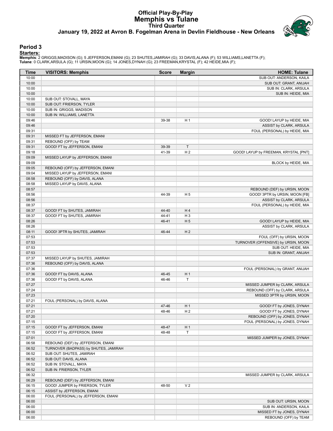# **Official Play-By-Play Memphis vs Tulane Third Quarter January 19, 2022 at Avron B. Fogelman Arena in Devlin Fieldhouse - New Orleans**



### **Period 3**

<mark>Startersː</mark><br>Memphis: 2 GRIGGS,MADISON (G); 5 JEFFERSON,EMANI (G); 23 SHUTES,JAMIRAH (G); 33 DAVIS,ALANA (F); 53 WILLIAMS,LANETTA (F);<br>Tulane: 0 CLARK,ARSULA (G); 11 URSIN,MOON (G); 14 JONES,DYNAH (G); 23 FREEMAN,KRYSTAL (F

| Time           | <b>VISITORS: Memphis</b>              | <b>Score</b> | <b>Margin</b>  | <b>HOME: Tulane</b>                   |
|----------------|---------------------------------------|--------------|----------------|---------------------------------------|
| 10:00          |                                       |              |                | SUB OUT: ANDERSON, KAILA              |
| 10:00          |                                       |              |                | SUB OUT: GRANT, ANIJAH                |
| 10:00          |                                       |              |                | SUB IN: CLARK, ARSULA                 |
| 10:00          |                                       |              |                | SUB IN: HEIDE, MIA                    |
| 10:00          | SUB OUT: STOVALL, MAYA                |              |                |                                       |
| 10:00          | SUB OUT: FRIERSON, TYLER              |              |                |                                       |
| 10:00          | SUB IN: GRIGGS, MADISON               |              |                |                                       |
| 10:00          | SUB IN: WILLIAMS, LANETTA             |              |                |                                       |
| 09:46          |                                       | 39-38        | H <sub>1</sub> | GOOD! LAYUP by HEIDE, MIA             |
| 09:46          |                                       |              |                | ASSIST by CLARK, ARSULA               |
| 09:31          |                                       |              |                | FOUL (PERSONAL) by HEIDE, MIA         |
| 09:31          | MISSED FT by JEFFERSON, EMANI         |              |                |                                       |
|                |                                       |              |                |                                       |
| 09:31          | REBOUND (OFF) by TEAM                 |              |                |                                       |
| 09:31          | GOOD! FT by JEFFERSON, EMANI          | 39-39        | $\mathsf T$    |                                       |
| 09:18          |                                       | 41-39        | H <sub>2</sub> | GOOD! LAYUP by FREEMAN, KRYSTAL [PNT] |
| 09:09          | MISSED LAYUP by JEFFERSON, EMANI      |              |                |                                       |
| 09:09          |                                       |              |                | BLOCK by HEIDE, MIA                   |
| 09:05          | REBOUND (OFF) by JEFFERSON, EMANI     |              |                |                                       |
| 09:04          | MISSED LAYUP by JEFFERSON, EMANI      |              |                |                                       |
| 08:58          | REBOUND (OFF) by DAVIS, ALANA         |              |                |                                       |
| 08:58          | MISSED LAYUP by DAVIS, ALANA          |              |                |                                       |
| 08:57          |                                       |              |                | REBOUND (DEF) by URSIN, MOON          |
| 08:56          |                                       | 44-39        | H <sub>5</sub> | GOOD! 3PTR by URSIN, MOON [FB]        |
| 08:56          |                                       |              |                | ASSIST by CLARK, ARSULA               |
| 08:37          |                                       |              |                | FOUL (PERSONAL) by HEIDE, MIA         |
| 08:37          | GOOD! FT by SHUTES, JAMIRAH           | 44-40        | H4             |                                       |
| 08:37          | GOOD! FT by SHUTES, JAMIRAH           | 44-41        | $H_3$          |                                       |
| 08:26          |                                       | 46-41        | H <sub>5</sub> | GOOD! LAYUP by HEIDE, MIA             |
| 08:26          |                                       |              |                | ASSIST by CLARK, ARSULA               |
| 08:11          | GOOD! 3PTR by SHUTES, JAMIRAH         | 46-44        | H <sub>2</sub> |                                       |
| 07:53          |                                       |              |                | FOUL (OFF) by URSIN, MOON             |
| 07:53          |                                       |              |                | TURNOVER (OFFENSIVE) by URSIN, MOON   |
| 07:53          |                                       |              |                | SUB OUT: HEIDE, MIA                   |
| 07:53          |                                       |              |                | SUB IN: GRANT, ANIJAH                 |
| 07:37          | MISSED LAYUP by SHUTES, JAMIRAH       |              |                |                                       |
| 07:36          | REBOUND (OFF) by DAVIS, ALANA         |              |                |                                       |
| 07:36          |                                       |              |                | FOUL (PERSONAL) by GRANT, ANIJAH      |
| 07:36          | GOOD! FT by DAVIS, ALANA              | 46-45        | H <sub>1</sub> |                                       |
| 07:36          | GOOD! FT by DAVIS, ALANA              | 46-46        | T              |                                       |
| 07:27          |                                       |              |                | MISSED JUMPER by CLARK, ARSULA        |
| 07:24          |                                       |              |                | REBOUND (OFF) by CLARK, ARSULA        |
| 07:23          |                                       |              |                | MISSED 3PTR by URSIN, MOON            |
| 07:21          | FOUL (PERSONAL) by DAVIS, ALANA       |              |                |                                       |
| 07:21          |                                       | 47-46        | H 1            | GOOD! FT by JONES, DYNAH              |
| 07:21          |                                       | 48-46        | H <sub>2</sub> | GOOD! FT by JONES, DYNAH              |
| 07:20          |                                       |              |                | REBOUND (OFF) by JONES, DYNAH         |
| 07:15          |                                       |              |                | FOUL (PERSONAL) by JONES, DYNAH       |
|                | GOOD! FT by JEFFERSON, EMANI          |              | H <sub>1</sub> |                                       |
| 07:15<br>07:15 | GOOD! FT by JEFFERSON, EMANI          | 48-47        |                |                                       |
|                |                                       | 48-48        | Т              |                                       |
| 07:01          |                                       |              |                | MISSED JUMPER by JONES, DYNAH         |
| 06:58          | REBOUND (DEF) by JEFFERSON, EMANI     |              |                |                                       |
| 06:52          | TURNOVER (BADPASS) by SHUTES, JAMIRAH |              |                |                                       |
| 06:52          | SUB OUT: SHUTES, JAMIRAH              |              |                |                                       |
| 06:52          | SUB OUT: DAVIS, ALANA                 |              |                |                                       |
| 06:52          | SUB IN: STOVALL, MAYA                 |              |                |                                       |
| 06:52          | SUB IN: FRIERSON, TYLER               |              |                |                                       |
| 06:32          |                                       |              |                | MISSED JUMPER by CLARK, ARSULA        |
| 06:29          | REBOUND (DEF) by JEFFERSON, EMANI     |              |                |                                       |
| 06:15          | GOOD! JUMPER by FRIERSON, TYLER       | 48-50        | V <sub>2</sub> |                                       |
| 06:15          | ASSIST by JEFFERSON, EMANI            |              |                |                                       |
| 06:00          | FOUL (PERSONAL) by JEFFERSON, EMANI   |              |                |                                       |
| 06:00          |                                       |              |                | SUB OUT: URSIN, MOON                  |
| 06:00          |                                       |              |                | SUB IN: ANDERSON, KAILA               |
| 06:00          |                                       |              |                | MISSED FT by JONES, DYNAH             |
| 06:00          |                                       |              |                | REBOUND (OFF) by TEAM                 |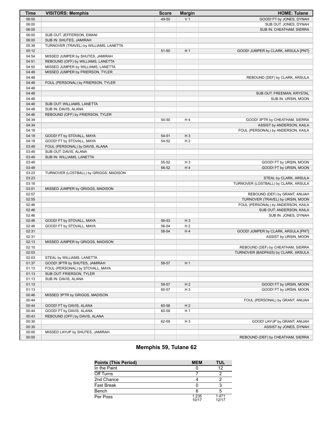| <b>Time</b>    | <b>VISITORS: Memphis</b>                                    | <b>Score</b> | <b>Margin</b>                    | <b>HOME: Tulane</b>                  |
|----------------|-------------------------------------------------------------|--------------|----------------------------------|--------------------------------------|
| 06:00          |                                                             | 49-50        | V <sub>1</sub>                   | GOOD! FT by JONES, DYNAH             |
| 06:00          |                                                             |              |                                  | SUB OUT: JONES, DYNAH                |
| 06:00          |                                                             |              |                                  | SUB IN: CHEATHAM, SIERRA             |
| 06:00          | SUB OUT: JEFFERSON, EMANI                                   |              |                                  |                                      |
| 06:00          | SUB IN: SHUTES, JAMIRAH                                     |              |                                  |                                      |
| 05:39          | TURNOVER (TRAVEL) by WILLIAMS, LANETTA                      |              |                                  |                                      |
| 05:12          |                                                             | 51-50        | H <sub>1</sub>                   | GOOD! JUMPER by CLARK, ARSULA [PNT]  |
| 04:54          | MISSED JUMPER by SHUTES, JAMIRAH                            |              |                                  |                                      |
| 04:51          | REBOUND (OFF) by WILLIAMS, LANETTA                          |              |                                  |                                      |
| 04:50          | MISSED JUMPER by WILLIAMS, LANETTA                          |              |                                  |                                      |
| 04:49          | MISSED JUMPER by FRIERSON, TYLER                            |              |                                  |                                      |
| 04:48          |                                                             |              |                                  | REBOUND (DEF) by CLARK, ARSULA       |
| 04:48          | FOUL (PERSONAL) by FRIERSON, TYLER                          |              |                                  |                                      |
| 04:48          |                                                             |              |                                  |                                      |
| 04:48          |                                                             |              |                                  | SUB OUT: FREEMAN, KRYSTAL            |
| 04:48          |                                                             |              |                                  | SUB IN: URSIN, MOON                  |
| 04:48          | SUB OUT: WILLIAMS, LANETTA                                  |              |                                  |                                      |
| 04:48          | SUB IN: DAVIS, ALANA                                        |              |                                  |                                      |
| 04:46          | REBOUND (OFF) by FRIERSON, TYLER                            |              |                                  |                                      |
| 04:34          |                                                             | 54-50        | H4                               | GOOD! 3PTR by CHEATHAM, SIERRA       |
| 04:34          |                                                             |              |                                  | ASSIST by ANDERSON, KAILA            |
| 04:18          |                                                             |              |                                  | FOUL (PERSONAL) by ANDERSON, KAILA   |
| 04:18          | GOOD! FT by STOVALL, MAYA                                   | 54-51        | $H_3$                            |                                      |
| 04:18          | GOOD! FT by STOVALL, MAYA                                   | 54-52        | H <sub>2</sub>                   |                                      |
| 03:49          | FOUL (PERSONAL) by DAVIS, ALANA                             |              |                                  |                                      |
| 03:49          | SUB OUT: DAVIS, ALANA                                       |              |                                  |                                      |
| 03:49          | SUB IN: WILLIAMS, LANETTA                                   |              |                                  |                                      |
| 03:49          |                                                             | 55-52        | $H_3$                            | GOOD! FT by URSIN, MOON              |
| 03:49          |                                                             | 56-52        | H4                               | GOOD! FT by URSIN, MOON              |
| 03:23          | TURNOVER (LOSTBALL) by GRIGGS, MADISON                      |              |                                  |                                      |
| 03:23          |                                                             |              |                                  | STEAL by CLARK, ARSULA               |
| 03:18          |                                                             |              |                                  | TURNOVER (LOSTBALL) by CLARK, ARSULA |
| 03:01          | MISSED JUMPER by GRIGGS, MADISON                            |              |                                  |                                      |
| 02:57          |                                                             |              |                                  | REBOUND (DEF) by GRANT, ANIJAH       |
| 02:55          |                                                             |              |                                  | TURNOVER (TRAVEL) by URSIN, MOON     |
| 02:46          |                                                             |              |                                  | FOUL (PERSONAL) by ANDERSON, KAILA   |
| 02:46          |                                                             |              |                                  | SUB OUT: ANDERSON, KAILA             |
| 02:46          |                                                             |              |                                  | SUB IN: JONES, DYNAH                 |
| 02:46          | GOOD! FT by STOVALL, MAYA                                   | 56-53        | $H_3$                            |                                      |
| 02:46          | GOOD! FT by STOVALL, MAYA                                   | 56-54        | H <sub>2</sub>                   |                                      |
| 02:31          |                                                             | 58-54        | H4                               | GOOD! JUMPER by CLARK, ARSULA [PNT]  |
| 02:31          |                                                             |              |                                  | ASSIST by URSIN, MOON                |
| 02:13          | MISSED JUMPER by GRIGGS, MADISON                            |              |                                  |                                      |
| 02:10          |                                                             |              |                                  | REBOUND (DEF) by CHEATHAM, SIERRA    |
| 02:03          |                                                             |              |                                  | TURNOVER (BADPASS) by CLARK, ARSULA  |
| 02:03          | STEAL by WILLIAMS, LANETTA<br>GOOD! 3PTR by SHUTES, JAMIRAH | 58-57        |                                  |                                      |
| 01:37<br>01:13 | FOUL (PERSONAL) by STOVALL, MAYA                            |              | H 1                              |                                      |
| 01:13          | SUB OUT: FRIERSON, TYLER                                    |              |                                  |                                      |
|                | SUB IN: DAVIS, ALANA                                        |              |                                  |                                      |
| 01:13          |                                                             | 59-57        |                                  | GOOD! FT by URSIN, MOON              |
| 01:13<br>01:13 |                                                             | 60-57        | H <sub>2</sub><br>H <sub>3</sub> | GOOD! FT by URSIN, MOON              |
| 00:46          | MISSED 3PTR by GRIGGS, MADISON                              |              |                                  |                                      |
| 00:44          |                                                             |              |                                  | FOUL (PERSONAL) by GRANT, ANIJAH     |
| 00:44          | GOOD! FT by DAVIS, ALANA                                    | 60-58        | H <sub>2</sub>                   |                                      |
| 00:44          | GOOD! FT by DAVIS, ALANA                                    | 60-59        | H <sub>1</sub>                   |                                      |
| 00:43          | REBOUND (OFF) by DAVIS, ALANA                               |              |                                  |                                      |
| 00:30          |                                                             | 62-59        | H <sub>3</sub>                   | GOOD! LAYUP by GRANT, ANIJAH         |
| 00:30          |                                                             |              |                                  | ASSIST by JONES, DYNAH               |
| 00:00          | MISSED LAYUP by SHUTES, JAMIRAH                             |              |                                  |                                      |
| 00:00          |                                                             |              |                                  | REBOUND (DEF) by CHEATHAM, SIERRA    |
|                |                                                             |              |                                  |                                      |

# **Memphis 59, Tulane 62**

| <b>Points (This Period)</b> | <b>MEM</b>     | <b>TUL</b>     |
|-----------------------------|----------------|----------------|
| In the Paint                |                | 12             |
| Off Turns                   |                |                |
| 2nd Chance                  |                |                |
| <b>Fast Break</b>           |                |                |
| Bench                       |                |                |
| Per Poss                    | 1.235<br>10/17 | 1.471<br>12/17 |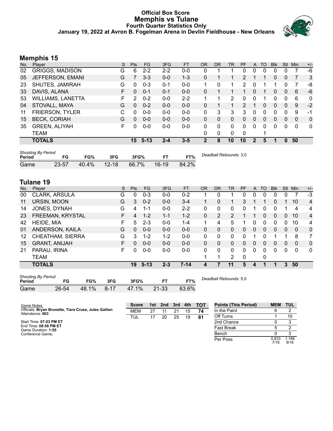### **Official Box Score Memphis vs Tulane Fourth Quarter Statistics Only January 19, 2022 at Avron B. Fogelman Arena in Devlin Fieldhouse - New Orleans**



# **Memphis 15**

| No. | Plaver                   | S  | <b>Pts</b> | FG.      | 3FG     | <b>FT</b> | <b>OR</b> | DR       | TR       | <b>PF</b> | $\mathsf{A}$ | TO       | <b>BIK</b> | Stl      | Min      | $+/-$        |
|-----|--------------------------|----|------------|----------|---------|-----------|-----------|----------|----------|-----------|--------------|----------|------------|----------|----------|--------------|
| 02  | <b>GRIGGS, MADISON</b>   | G  | 6          | $2 - 2$  | $2 - 2$ | $0 - 0$   | 0         |          |          | 0         | 0            | 0        | 0          | 0        |          | $-6$         |
| 05  | JEFFERSON, EMANI         | G  |            | $3 - 3$  | $0-0$   | $1 - 3$   | 0         |          |          | 2         |              |          | 0          | 0        |          | 3            |
| 23  | SHUTES, JAMIRAH          | G  | 0          | $0 - 3$  | $0 - 1$ | $0-0$     |           | 0        | 1        | 2         | 0            |          |            | 0        |          | -8           |
| 33  | DAVIS, ALANA             | F  | 0          | $0 - 1$  | $0 - 1$ | $0 - 0$   | 0         |          |          |           | 0            |          | 0          | 0        | 6        | -6           |
| 53  | <b>WILLIAMS, LANETTA</b> | F  | 2          | $0 - 2$  | $0 - 0$ | $2 - 2$   |           |          | 2        | 0         | 0            |          | 0          | 0        | 6        | $\mathbf{0}$ |
| 04  | STOVALL, MAYA            | G  | 0          | $0 - 2$  | $0 - 0$ | $0 - 0$   | 0         |          |          | 2         |              | 0        | 0          | $\Omega$ | 9        | $-2$         |
| 11  | FRIERSON, TYLER          | C. | 0          | $0 - 0$  | $0 - 0$ | $0 - 0$   | 0         | 3        | 3        | 3         | 0            | $\Omega$ | 0          | 0        | -9       | $-1$         |
| 15  | <b>BECK, CORIAH</b>      | G  | $\Omega$   | $0 - 0$  | $0 - 0$ | $0 - 0$   | $\Omega$  | 0        | $\Omega$ | 0         | $\Omega$     | $\Omega$ | 0          | $\Omega$ | $\Omega$ | $\mathbf{0}$ |
| 35  | <b>GREEN, ALIYAH</b>     | F  | 0          | $0 - 0$  | $0-0$   | $0-0$     | 0         | $\Omega$ | 0        | 0         | $\Omega$     | $\Omega$ | 0          | 0        | 0        | $\mathbf{0}$ |
|     | TEAM                     |    |            |          |         |           | 0         | 0        | 0        | 0         |              |          |            |          |          |              |
|     | <b>TOTALS</b>            |    | 15         | $5 - 13$ | $2 - 4$ | $3 - 5$   |           | 8        | 10       | 10        |              | 5        |            | 0        | 50       |              |

| <b>Shooting By Period</b><br>Period | FG        | FG%   | 3FG       | 3FG%  |           | FT%   | Deadball Rebounds: 3,0 |
|-------------------------------------|-----------|-------|-----------|-------|-----------|-------|------------------------|
| Game                                | $23 - 57$ | 40.4% | $12 - 18$ | 66.7% | $16 - 19$ | 84.2% |                        |

# **Tulane 19**

| No. | Plaver                  | S  | <b>Pts</b> | <b>FG</b> | 3FG     | <b>FT</b> | 0R           | <b>DR</b> | <b>TR</b> | PF           | A        | TO       | <b>Blk</b> | Stl          | Min          | $+/-$          |
|-----|-------------------------|----|------------|-----------|---------|-----------|--------------|-----------|-----------|--------------|----------|----------|------------|--------------|--------------|----------------|
| 00  | CLARK, ARSULA           | G  | 0          | $0 - 3$   | $0 - 0$ | $0 - 2$   |              | 0         |           | 0            | 0        | 0        | O          | 0            |              | $-3$           |
| 11  | URSIN, MOON             | G  | 3          | $0 - 2$   | $0 - 0$ | $3 - 4$   | 1.           | 0         | 1         | 3            |          |          | 0          |              | 10           | $\overline{4}$ |
| 14  | JONES, DYNAH            | G  | 4          | $1 - 1$   | $0 - 0$ | $2 - 2$   | 0            | 0         | 0         | 0            |          | 0        | 0          |              | 4            | 4              |
| 23  | FREEMAN, KRYSTAL        | F. | 4          | $1 - 2$   | $1 - 1$ | $1 - 2$   | $\mathbf{0}$ | 2         | 2         |              |          | $\Omega$ | 0          | $\mathbf{0}$ | 10           | 4              |
| 42  | <b>HEIDE, MIA</b>       | F  | 5          | $2 - 3$   | $0 - 0$ | $1 - 4$   | 1            | 4         | 5         |              | 0        | 0        | 0          | 0            | 10           | 4              |
| 01  | ANDERSON, KAILA         | G  | 0          | $0 - 0$   | $0 - 0$ | $0 - 0$   | $\mathbf{0}$ | 0         | 0         | 0            | $\Omega$ | $\Omega$ | $\Omega$   | $\Omega$     | $\mathbf{0}$ | $\mathbf{0}$   |
| 12  | <b>CHEATHAM, SIERRA</b> | G  | 3          | $1 - 2$   | $1 - 2$ | $0-0$     | 0            | 0         | 0         | 0            |          |          | 1          |              | 8            | 7              |
| 15  | <b>GRANT, ANIJAH</b>    | F  | 0          | $0 - 0$   | $0 - 0$ | $0 - 0$   | $\Omega$     | 0         | 0         | 0            | $\Omega$ | 0        | 0          | 0            | 0            | $\mathbf{0}$   |
| 21  | PARAU, IRINA            | F  | 0          | $0-0$     | $0-0$   | $0-0$     | 0            | 0         | 0         | 0            | 0        | 0        | 0          | 0            | 0            | $\mathbf{0}$   |
|     | <b>TEAM</b>             |    |            |           |         |           |              |           | 2         | $\mathbf{0}$ |          | 0        |            |              |              |                |
|     | <b>TOTALS</b>           |    | 19         | $5 - 13$  | $2 - 3$ | $7 - 14$  | 4            |           | 11        | 5            | 4        |          | 1          | 3            | 50           |                |

| <b>Shooting By Period</b><br>Period |       | FG%   | 3FG    | 3FG%  |       | FT%   |  |
|-------------------------------------|-------|-------|--------|-------|-------|-------|--|
| Game                                | 26-54 | 48.1% | - 8-17 | 47.1% | 21-33 | 63.6% |  |

*Deadball Rebounds:* 5,0

| Game Notes:                                                              | <b>Score</b> |    | 1st 2nd | $\sim$ 3rd $\sim$ | 4th | — тот | <b>Points (This Period)</b> | <b>MEM</b>    | TUL          |
|--------------------------------------------------------------------------|--------------|----|---------|-------------------|-----|-------|-----------------------------|---------------|--------------|
| Officials: Bryan Brunette, Tiara Cruse, Jules Gallien<br>Attendance: 603 | <b>MEM</b>   | 27 |         | 21                | 15  | 74    | In the Paint                |               |              |
|                                                                          | TUL          |    | 20      | 25                | 19  | 81    | Off Turns                   |               | 10           |
| Start Time: 07:03 PM ET                                                  |              |    |         |                   |     |       | 2nd Chance                  |               |              |
| End Time: 08:58 PM ET<br>Game Duration: 1:55                             |              |    |         |                   |     |       | <b>Fast Break</b>           |               |              |
| Conference Game:                                                         |              |    |         |                   |     |       | Bench                       |               |              |
|                                                                          |              |    |         |                   |     |       | Per Poss                    | 0.833<br>7/18 | .188<br>9/16 |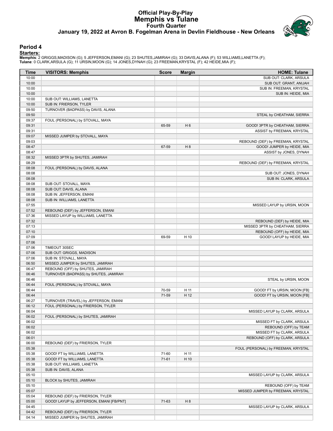# **Official Play-By-Play Memphis vs Tulane Fourth Quarter January 19, 2022 at Avron B. Fogelman Arena in Devlin Fieldhouse - New Orleans**



### **Period 4**

<mark>Startersː</mark><br>Memphis: 2 GRIGGS,MADISON (G); 5 JEFFERSON,EMANI (G); 23 SHUTES,JAMIRAH (G); 33 DAVIS,ALANA (F); 53 WILLIAMS,LANETTA (F);<br>Tulane: 0 CLARK,ARSULA (G); 11 URSIN,MOON (G); 14 JONES,DYNAH (G); 23 FREEMAN,KRYSTAL (F

| <b>Time</b>    | <b>VISITORS: Memphis</b>                                       | <b>Score</b>   | <b>Margin</b>  | <b>HOME: Tulane</b>                 |
|----------------|----------------------------------------------------------------|----------------|----------------|-------------------------------------|
| 10:00          |                                                                |                |                | SUB OUT: CLARK, ARSULA              |
| 10:00          |                                                                |                |                | SUB OUT: GRANT, ANIJAH              |
| 10:00          |                                                                |                |                | SUB IN: FREEMAN, KRYSTAL            |
| 10:00          |                                                                |                |                | SUB IN: HEIDE, MIA                  |
| 10:00          | SUB OUT: WILLIAMS, LANETTA                                     |                |                |                                     |
| 10:00          | SUB IN: FRIERSON, TYLER                                        |                |                |                                     |
| 09:50          | TURNOVER (BADPASS) by DAVIS, ALANA                             |                |                |                                     |
| 09:50          |                                                                |                |                | STEAL by CHEATHAM, SIERRA           |
| 09:37          | FOUL (PERSONAL) by STOVALL, MAYA                               |                |                |                                     |
| 09:31          |                                                                | 65-59          | H <sub>6</sub> | GOOD! 3PTR by CHEATHAM, SIERRA      |
| 09:31          |                                                                |                |                | ASSIST by FREEMAN, KRYSTAL          |
| 09:07          | MISSED JUMPER by STOVALL, MAYA                                 |                |                |                                     |
| 09:03          |                                                                |                |                | REBOUND (DEF) by FREEMAN, KRYSTAL   |
| 08:47          |                                                                | 67-59          | H 8            | GOOD! JUMPER by HEIDE, MIA          |
| 08:47          |                                                                |                |                | ASSIST by JONES, DYNAH              |
| 08:32<br>08:29 | MISSED 3PTR by SHUTES, JAMIRAH                                 |                |                |                                     |
| 08:08          | FOUL (PERSONAL) by DAVIS, ALANA                                |                |                | REBOUND (DEF) by FREEMAN, KRYSTAL   |
| 08:08          |                                                                |                |                | SUB OUT: JONES, DYNAH               |
| 08:08          |                                                                |                |                | SUB IN: CLARK, ARSULA               |
| 08:08          | SUB OUT: STOVALL, MAYA                                         |                |                |                                     |
| 08:08          | SUB OUT: DAVIS, ALANA                                          |                |                |                                     |
| 08:08          | SUB IN: JEFFERSON, EMANI                                       |                |                |                                     |
| 08:08          | SUB IN: WILLIAMS, LANETTA                                      |                |                |                                     |
| 07:55          |                                                                |                |                | MISSED LAYUP by URSIN, MOON         |
| 07:52          | REBOUND (DEF) by JEFFERSON, EMANI                              |                |                |                                     |
| 07:36          | MISSED LAYUP by WILLIAMS, LANETTA                              |                |                |                                     |
| 07:32          |                                                                |                |                | REBOUND (DEF) by HEIDE, MIA         |
| 07:13          |                                                                |                |                | MISSED 3PTR by CHEATHAM, SIERRA     |
| 07:10          |                                                                |                |                | REBOUND (OFF) by HEIDE, MIA         |
| 07:09          |                                                                | 69-59          | H 10           | GOOD! LAYUP by HEIDE, MIA           |
| 07:06          |                                                                |                |                |                                     |
| 07:06          | TIMEOUT 30SEC                                                  |                |                |                                     |
| 07:06          | SUB OUT: GRIGGS, MADISON                                       |                |                |                                     |
| 07:06          | SUB IN: STOVALL, MAYA                                          |                |                |                                     |
| 06:50          | MISSED JUMPER by SHUTES, JAMIRAH                               |                |                |                                     |
| 06:47          | REBOUND (OFF) by SHUTES, JAMIRAH                               |                |                |                                     |
| 06:46          | TURNOVER (BADPASS) by SHUTES, JAMIRAH                          |                |                |                                     |
| 06:46          |                                                                |                |                | STEAL by URSIN, MOON                |
| 06:44          | FOUL (PERSONAL) by STOVALL, MAYA                               |                |                |                                     |
| 06:44          |                                                                | 70-59          | H 11           | GOOD! FT by URSIN, MOON [FB]        |
| 06:44          |                                                                | 71-59          | H 12           | GOOD! FT by URSIN, MOON [FB]        |
| 06:27          | TURNOVER (TRAVEL) by JEFFERSON, EMANI                          |                |                |                                     |
| 06:12          | FOUL (PERSONAL) by FRIERSON, TYLER                             |                |                |                                     |
| 06:04          |                                                                |                |                | MISSED LAYUP by CLARK, ARSULA       |
| 06:02          | FOUL (PERSONAL) by SHUTES, JAMIRAH                             |                |                |                                     |
| 06:02          |                                                                |                |                | MISSED FT by CLARK, ARSULA          |
| 06:02          |                                                                |                |                | REBOUND (OFF) by TEAM               |
| 06:02          |                                                                |                |                | MISSED FT by CLARK, ARSULA          |
| 06:01          |                                                                |                |                | REBOUND (OFF) by CLARK, ARSULA      |
| 06:00          | REBOUND (DEF) by FRIERSON, TYLER                               |                |                |                                     |
| 05:38          |                                                                |                |                | FOUL (PERSONAL) by FREEMAN, KRYSTAL |
| 05:38<br>05:38 | GOOD! FT by WILLIAMS, LANETTA<br>GOOD! FT by WILLIAMS, LANETTA | 71-60<br>71-61 | H 11<br>H 10   |                                     |
|                |                                                                |                |                |                                     |
| 05:38<br>05:38 | SUB OUT: WILLIAMS, LANETTA<br>SUB IN: DAVIS, ALANA             |                |                |                                     |
| 05:10          |                                                                |                |                | MISSED LAYUP by CLARK, ARSULA       |
| 05:10          | BLOCK by SHUTES, JAMIRAH                                       |                |                |                                     |
| 05:10          |                                                                |                |                | REBOUND (OFF) by TEAM               |
| 05:07          |                                                                |                |                | MISSED JUMPER by FREEMAN, KRYSTAL   |
| 05:04          | REBOUND (DEF) by FRIERSON, TYLER                               |                |                |                                     |
| 05:00          | GOOD! LAYUP by JEFFERSON, EMANI [FB/PNT]                       | 71-63          | H <sub>8</sub> |                                     |
| 04:45          |                                                                |                |                | MISSED LAYUP by CLARK, ARSULA       |
| 04:42          | REBOUND (DEF) by FRIERSON, TYLER                               |                |                |                                     |
| 04:14          | MISSED JUMPER by SHUTES, JAMIRAH                               |                |                |                                     |
|                |                                                                |                |                |                                     |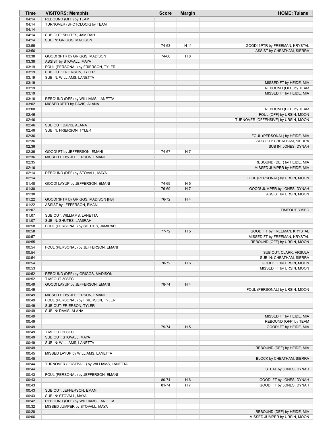| Time           | <b>VISITORS: Memphis</b>                                       | <b>Score</b> | <b>Margin</b>  | <b>HOME: Tulane</b>                 |
|----------------|----------------------------------------------------------------|--------------|----------------|-------------------------------------|
| 04:14          | REBOUND (OFF) by TEAM                                          |              |                |                                     |
| 04:14          | TURNOVER (SHOTCLOCK) by TEAM                                   |              |                |                                     |
| 04:14          |                                                                |              |                |                                     |
| 04:14          | SUB OUT: SHUTES, JAMIRAH                                       |              |                |                                     |
| 04:14          | SUB IN: GRIGGS, MADISON                                        |              |                |                                     |
| 03:56          |                                                                | 74-63        | H 11           | GOOD! 3PTR by FREEMAN, KRYSTAL      |
| 03:56          |                                                                |              |                | ASSIST by CHEATHAM, SIERRA          |
| 03:38          | GOOD! 3PTR by GRIGGS, MADISON                                  | 74-66        | H <sub>8</sub> |                                     |
| 03:38          | ASSIST by STOVALL, MAYA                                        |              |                |                                     |
| 03:19<br>03:19 | FOUL (PERSONAL) by FRIERSON, TYLER<br>SUB OUT: FRIERSON, TYLER |              |                |                                     |
| 03:19          | SUB IN: WILLIAMS, LANETTA                                      |              |                |                                     |
| 03:19          |                                                                |              |                | MISSED FT by HEIDE, MIA             |
| 03:19          |                                                                |              |                | REBOUND (OFF) by TEAM               |
| 03:19          |                                                                |              |                | MISSED FT by HEIDE, MIA             |
| 03:18          | REBOUND (DEF) by WILLIAMS, LANETTA                             |              |                |                                     |
| 03:02          | MISSED 3PTR by DAVIS, ALANA                                    |              |                |                                     |
| 03:00          |                                                                |              |                | REBOUND (DEF) by TEAM               |
| 02:46          |                                                                |              |                | FOUL (OFF) by URSIN, MOON           |
| 02:46          |                                                                |              |                | TURNOVER (OFFENSIVE) by URSIN, MOON |
| 02:46          | SUB OUT: DAVIS, ALANA                                          |              |                |                                     |
| 02:46          | SUB IN: FRIERSON, TYLER                                        |              |                |                                     |
| 02:36          |                                                                |              |                | FOUL (PERSONAL) by HEIDE, MIA       |
| 02:36          |                                                                |              |                | SUB OUT: CHEATHAM, SIERRA           |
| 02:36          |                                                                |              |                | SUB IN: JONES, DYNAH                |
| 02:36          | GOOD! FT by JEFFERSON, EMANI                                   | 74-67        | H 7            |                                     |
| 02:36<br>02:35 | MISSED FT by JEFFERSON, EMANI                                  |              |                | REBOUND (DEF) by HEIDE, MIA         |
| 02:16          |                                                                |              |                | MISSED JUMPER by HEIDE, MIA         |
| 02:14          | REBOUND (DEF) by STOVALL, MAYA                                 |              |                |                                     |
| 02:14          |                                                                |              |                | FOUL (PERSONAL) by URSIN, MOON      |
| 01:48          | GOOD! LAYUP by JEFFERSON, EMANI                                | 74-69        | H <sub>5</sub> |                                     |
| 01:30          |                                                                | 76-69        | H <sub>7</sub> | GOOD! JUMPER by JONES, DYNAH        |
| 01:30          |                                                                |              |                | ASSIST by URSIN, MOON               |
| 01:22          | GOOD! 3PTR by GRIGGS, MADISON [FB]                             | 76-72        | H4             |                                     |
| 01:22          | ASSIST by JEFFERSON, EMANI                                     |              |                |                                     |
| 01:07          |                                                                |              |                | TIMEOUT 30SEC                       |
| 01:07          | SUB OUT: WILLIAMS, LANETTA                                     |              |                |                                     |
| 01:07          | SUB IN: SHUTES, JAMIRAH                                        |              |                |                                     |
| 00:58          | FOUL (PERSONAL) by SHUTES, JAMIRAH                             |              |                |                                     |
| 00:58          |                                                                | $77 - 72$    | H <sub>5</sub> | GOOD! FT by FREEMAN, KRYSTAL        |
| 00:57          |                                                                |              |                | MISSED FT by FREEMAN, KRYSTAL       |
| 00:55          | FOUL (PERSONAL) by JEFFERSON, EMANI                            |              |                | REBOUND (OFF) by URSIN, MOON        |
| 00:54<br>00:54 |                                                                |              |                | SUB OUT: CLARK, ARSULA              |
| 00:54          |                                                                |              |                | SUB IN: CHEATHAM, SIERRA            |
| 00:54          |                                                                | 78-72        | H 6            | GOOD! FT by URSIN, MOON             |
| 00:53          |                                                                |              |                | MISSED FT by URSIN, MOON            |
| 00:52          | REBOUND (DEF) by GRIGGS, MADISON                               |              |                |                                     |
| 00:52          | TIMEOUT 30SEC                                                  |              |                |                                     |
| 00:49          | GOOD! LAYUP by JEFFERSON, EMANI                                | 78-74        | H4             |                                     |
| 00:49          |                                                                |              |                | FOUL (PERSONAL) by URSIN, MOON      |
| 00:49          | MISSED FT by JEFFERSON, EMANI                                  |              |                |                                     |
| 00:49          | FOUL (PERSONAL) by FRIERSON, TYLER                             |              |                |                                     |
| 00:49          | SUB OUT: FRIERSON, TYLER                                       |              |                |                                     |
| 00:49          | SUB IN: DAVIS, ALANA                                           |              |                |                                     |
| 00:49          |                                                                |              |                | MISSED FT by HEIDE, MIA             |
| 00:49          |                                                                |              |                | REBOUND (OFF) by TEAM               |
| 00:49          |                                                                | 79-74        | H <sub>5</sub> | GOOD! FT by HEIDE, MIA              |
| 00:49          | TIMEOUT 30SEC                                                  |              |                |                                     |
| 00:49<br>00:49 | SUB OUT: STOVALL, MAYA<br>SUB IN: WILLIAMS, LANETTA            |              |                |                                     |
| 00:49          |                                                                |              |                | REBOUND (DEF) by HEIDE, MIA         |
| 00:45          | MISSED LAYUP by WILLIAMS, LANETTA                              |              |                |                                     |
| 00:45          |                                                                |              |                | BLOCK by CHEATHAM, SIERRA           |
| 00:44          | TURNOVER (LOSTBALL) by WILLIAMS, LANETTA                       |              |                |                                     |
| 00:44          |                                                                |              |                | STEAL by JONES, DYNAH               |
| 00:43          | FOUL (PERSONAL) by JEFFERSON, EMANI                            |              |                |                                     |
| 00:43          |                                                                | 80-74        | H <sub>6</sub> | GOOD! FT by JONES, DYNAH            |
| 00:43          |                                                                | 81-74        | H <sub>7</sub> | GOOD! FT by JONES, DYNAH            |
| 00:43          | SUB OUT: JEFFERSON, EMANI                                      |              |                |                                     |
| 00:43          | SUB IN: STOVALL, MAYA                                          |              |                |                                     |
| 00:42          | REBOUND (OFF) by WILLIAMS, LANETTA                             |              |                |                                     |
| 00:32          | MISSED JUMPER by STOVALL, MAYA                                 |              |                |                                     |
| 00:28          |                                                                |              |                | REBOUND (DEF) by HEIDE, MIA         |
| 00:06          |                                                                |              |                | MISSED JUMPER by URSIN, MOON        |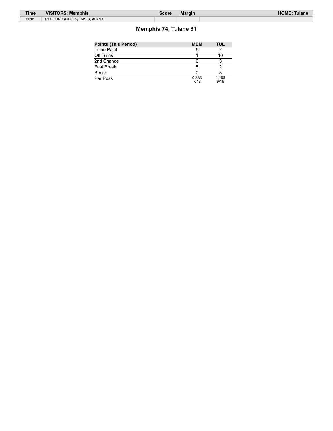| Time  | <b>VISITORS: Memphis</b>      | Score | <b>Margin</b> | HOME:<br><b>Tulane</b> |
|-------|-------------------------------|-------|---------------|------------------------|
| 00:01 | REBOUND (DEF) by DAVIS, ALANA |       |               |                        |

# **Memphis 74, Tulane 81**

| Points (This Period) | <b>MEM</b>    | TUL           |
|----------------------|---------------|---------------|
| In the Paint         |               |               |
| Off Turns            |               | 10            |
| 2nd Chance           |               |               |
| Fast Break           |               |               |
| Bench                |               |               |
| Per Poss             | 0.833<br>7/18 | 1.188<br>9/16 |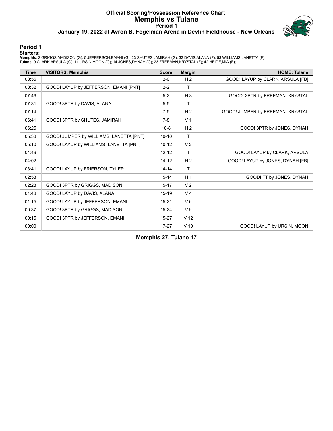### **Official Scoring/Possession Reference Chart Memphis vs Tulane Period 1 January 19, 2022 at Avron B. Fogelman Arena in Devlin Fieldhouse - New Orleans**



# **Period 1**

<mark>Startersː</mark><br>Memphis: 2 GRIGGS,MADISON (G); 5 JEFFERSON,EMANI (G); 23 SHUTES,JAMIRAH (G); 33 DAVIS,ALANA (F); 53 WILLIAMS,LANETTA (F);<br>Tulane: 0 CLARK,ARSULA (G); 11 URSIN,MOON (G); 14 JONES,DYNAH (G); 23 FREEMAN,KRYSTAL (F

| <b>Time</b> | <b>VISITORS: Memphis</b>                | <b>Score</b> | <b>Margin</b>   | <b>HOME: Tulane</b>               |
|-------------|-----------------------------------------|--------------|-----------------|-----------------------------------|
| 08:55       |                                         | $2 - 0$      | H <sub>2</sub>  | GOOD! LAYUP by CLARK, ARSULA [FB] |
| 08:32       | GOOD! LAYUP by JEFFERSON, EMANI [PNT]   | $2 - 2$      | T.              |                                   |
| 07:46       |                                         | $5-2$        | $H_3$           | GOOD! 3PTR by FREEMAN, KRYSTAL    |
| 07:31       | GOOD! 3PTR by DAVIS, ALANA              | $5-5$        | Τ               |                                   |
| 07:14       |                                         | $7-5$        | H <sub>2</sub>  | GOOD! JUMPER by FREEMAN, KRYSTAL  |
| 06:41       | GOOD! 3PTR by SHUTES, JAMIRAH           | $7-8$        | V <sub>1</sub>  |                                   |
| 06:25       |                                         | $10 - 8$     | H <sub>2</sub>  | GOOD! 3PTR by JONES, DYNAH        |
| 05:38       | GOOD! JUMPER by WILLIAMS, LANETTA [PNT] | $10 - 10$    | Τ               |                                   |
| 05:10       | GOOD! LAYUP by WILLIAMS, LANETTA [PNT]  | $10 - 12$    | V <sub>2</sub>  |                                   |
| 04:49       |                                         | $12 - 12$    | T.              | GOOD! LAYUP by CLARK, ARSULA      |
| 04:02       |                                         | $14 - 12$    | H <sub>2</sub>  | GOOD! LAYUP by JONES, DYNAH [FB]  |
| 03:41       | GOOD! LAYUP by FRIERSON, TYLER          | $14 - 14$    | Τ               |                                   |
| 02:53       |                                         | $15 - 14$    | H <sub>1</sub>  | GOOD! FT by JONES, DYNAH          |
| 02:28       | GOOD! 3PTR by GRIGGS, MADISON           | $15 - 17$    | V <sub>2</sub>  |                                   |
| 01:48       | GOOD! LAYUP by DAVIS, ALANA             | $15-19$      | V <sub>4</sub>  |                                   |
| 01:15       | GOOD! LAYUP by JEFFERSON, EMANI         | $15 - 21$    | $V_6$           |                                   |
| 00:37       | GOOD! 3PTR by GRIGGS, MADISON           | $15 - 24$    | V <sub>9</sub>  |                                   |
| 00:15       | GOOD! 3PTR by JEFFERSON, EMANI          | $15 - 27$    | V <sub>12</sub> |                                   |
| 00:00       |                                         | $17 - 27$    | $V$ 10          | GOOD! LAYUP by URSIN, MOON        |

**Memphis 27, Tulane 17**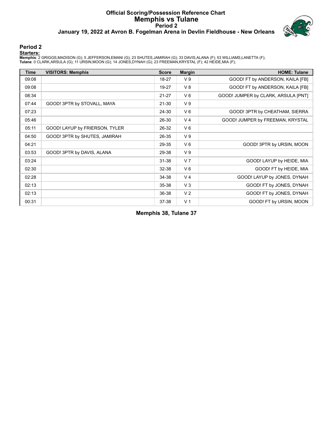### **Official Scoring/Possession Reference Chart Memphis vs Tulane Period 2 January 19, 2022 at Avron B. Fogelman Arena in Devlin Fieldhouse - New Orleans**



# **Period 2**

<mark>Startersː</mark><br>Memphis: 2 GRIGGS,MADISON (G); 5 JEFFERSON,EMANI (G); 23 SHUTES,JAMIRAH (G); 33 DAVIS,ALANA (F); 53 WILLIAMS,LANETTA (F);<br>Tulane: 0 CLARK,ARSULA (G); 11 URSIN,MOON (G); 14 JONES,DYNAH (G); 23 FREEMAN,KRYSTAL (F

| <b>Time</b> | <b>VISITORS: Memphis</b>       | <b>Score</b> | <b>Margin</b>  | <b>HOME: Tulane</b>                 |
|-------------|--------------------------------|--------------|----------------|-------------------------------------|
| 09:08       |                                | 18-27        | V <sub>9</sub> | GOOD! FT by ANDERSON, KAILA [FB]    |
| 09:08       |                                | 19-27        | V8             | GOOD! FT by ANDERSON, KAILA [FB]    |
| 08:34       |                                | $21 - 27$    | $V_6$          | GOOD! JUMPER by CLARK, ARSULA [PNT] |
| 07:44       | GOOD! 3PTR by STOVALL, MAYA    | $21 - 30$    | V <sub>9</sub> |                                     |
| 07:23       |                                | 24-30        | $V_6$          | GOOD! 3PTR by CHEATHAM, SIERRA      |
| 05:46       |                                | 26-30        | V <sub>4</sub> | GOOD! JUMPER by FREEMAN, KRYSTAL    |
| 05:11       | GOOD! LAYUP by FRIERSON, TYLER | 26-32        | $V_6$          |                                     |
| 04:50       | GOOD! 3PTR by SHUTES, JAMIRAH  | 26-35        | V <sub>9</sub> |                                     |
| 04:21       |                                | 29-35        | $V_6$          | GOOD! 3PTR by URSIN, MOON           |
| 03:53       | GOOD! 3PTR by DAVIS, ALANA     | 29-38        | V <sub>9</sub> |                                     |
| 03:24       |                                | $31 - 38$    | V <sub>7</sub> | GOOD! LAYUP by HEIDE, MIA           |
| 02:30       |                                | 32-38        | $V_6$          | GOOD! FT by HEIDE, MIA              |
| 02:28       |                                | 34-38        | V <sub>4</sub> | GOOD! LAYUP by JONES, DYNAH         |
| 02:13       |                                | 35-38        | $V_3$          | GOOD! FT by JONES, DYNAH            |
| 02:13       |                                | 36-38        | V <sub>2</sub> | GOOD! FT by JONES, DYNAH            |
| 00:31       |                                | 37-38        | V <sub>1</sub> | GOOD! FT by URSIN, MOON             |

**Memphis 38, Tulane 37**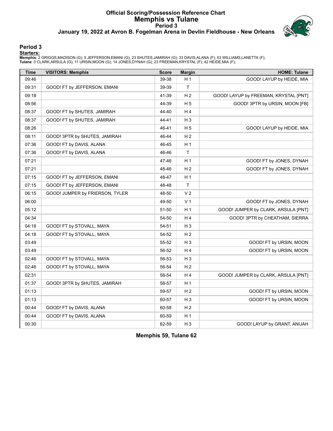# **Official Scoring/Possession Reference Chart Memphis vs Tulane Period 3 January 19, 2022 at Avron B. Fogelman Arena in Devlin Fieldhouse - New Orleans**



# **Period 3**

<mark>Startersː</mark><br>Memphis: 2 GRIGGS,MADISON (G); 5 JEFFERSON,EMANI (G); 23 SHUTES,JAMIRAH (G); 33 DAVIS,ALANA (F); 53 WILLIAMS,LANETTA (F);<br>Tulane: 0 CLARK,ARSULA (G); 11 URSIN,MOON (G); 14 JONES,DYNAH (G); 23 FREEMAN,KRYSTAL (F

| <b>Time</b> | <b>VISITORS: Memphis</b>        | <b>Score</b> | <b>Margin</b>  | <b>HOME: Tulane</b>                   |
|-------------|---------------------------------|--------------|----------------|---------------------------------------|
| 09:46       |                                 | 39-38        | H <sub>1</sub> | GOOD! LAYUP by HEIDE, MIA             |
| 09:31       | GOOD! FT by JEFFERSON, EMANI    | 39-39        | $\mathsf T$    |                                       |
| 09:18       |                                 | 41-39        | H <sub>2</sub> | GOOD! LAYUP by FREEMAN, KRYSTAL [PNT] |
| 08:56       |                                 | 44-39        | H <sub>5</sub> | GOOD! 3PTR by URSIN, MOON [FB]        |
| 08:37       | GOOD! FT by SHUTES, JAMIRAH     | 44-40        | H <sub>4</sub> |                                       |
| 08:37       | GOOD! FT by SHUTES, JAMIRAH     | 44-41        | $H_3$          |                                       |
| 08:26       |                                 | 46-41        | H <sub>5</sub> | GOOD! LAYUP by HEIDE, MIA             |
| 08:11       | GOOD! 3PTR by SHUTES, JAMIRAH   | 46-44        | H <sub>2</sub> |                                       |
| 07:36       | GOOD! FT by DAVIS, ALANA        | 46-45        | H <sub>1</sub> |                                       |
| 07:36       | GOOD! FT by DAVIS, ALANA        | 46-46        | $\mathsf T$    |                                       |
| 07:21       |                                 | 47-46        | H <sub>1</sub> | GOOD! FT by JONES, DYNAH              |
| 07:21       |                                 | 48-46        | H <sub>2</sub> | GOOD! FT by JONES, DYNAH              |
| 07:15       | GOOD! FT by JEFFERSON, EMANI    | 48-47        | H <sub>1</sub> |                                       |
| 07:15       | GOOD! FT by JEFFERSON, EMANI    | 48-48        | T              |                                       |
| 06:15       | GOOD! JUMPER by FRIERSON, TYLER | 48-50        | V <sub>2</sub> |                                       |
| 06:00       |                                 | 49-50        | V <sub>1</sub> | GOOD! FT by JONES, DYNAH              |
| 05:12       |                                 | 51-50        | H <sub>1</sub> | GOOD! JUMPER by CLARK, ARSULA [PNT]   |
| 04:34       |                                 | 54-50        | H <sub>4</sub> | GOOD! 3PTR by CHEATHAM, SIERRA        |
| 04:18       | GOOD! FT by STOVALL, MAYA       | 54-51        | H <sub>3</sub> |                                       |
| 04:18       | GOOD! FT by STOVALL, MAYA       | 54-52        | H <sub>2</sub> |                                       |
| 03:49       |                                 | 55-52        | H <sub>3</sub> | GOOD! FT by URSIN, MOON               |
| 03:49       |                                 | 56-52        | H4             | GOOD! FT by URSIN, MOON               |
| 02:46       | GOOD! FT by STOVALL, MAYA       | 56-53        | $H_3$          |                                       |
| 02:46       | GOOD! FT by STOVALL, MAYA       | 56-54        | H <sub>2</sub> |                                       |
| 02:31       |                                 | 58-54        | H <sub>4</sub> | GOOD! JUMPER by CLARK, ARSULA [PNT]   |
| 01:37       | GOOD! 3PTR by SHUTES, JAMIRAH   | 58-57        | H <sub>1</sub> |                                       |
| 01:13       |                                 | 59-57        | H <sub>2</sub> | GOOD! FT by URSIN, MOON               |
| 01:13       |                                 | 60-57        | $H_3$          | GOOD! FT by URSIN, MOON               |
| 00:44       | GOOD! FT by DAVIS, ALANA        | 60-58        | H <sub>2</sub> |                                       |
| 00:44       | GOOD! FT by DAVIS, ALANA        | 60-59        | H <sub>1</sub> |                                       |
| 00:30       |                                 | 62-59        | $H_3$          | GOOD! LAYUP by GRANT, ANIJAH          |

**Memphis 59, Tulane 62**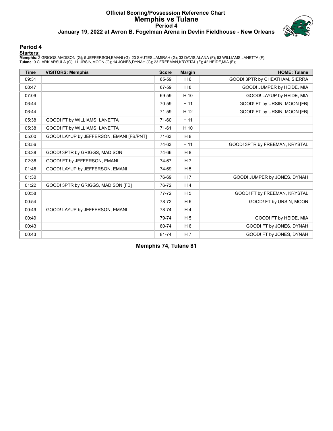# **Official Scoring/Possession Reference Chart Memphis vs Tulane Period 4 January 19, 2022 at Avron B. Fogelman Arena in Devlin Fieldhouse - New Orleans**



### **Period 4**

<mark>Startersː</mark><br>Memphis: 2 GRIGGS,MADISON (G); 5 JEFFERSON,EMANI (G); 23 SHUTES,JAMIRAH (G); 33 DAVIS,ALANA (F); 53 WILLIAMS,LANETTA (F);<br>Tulane: 0 CLARK,ARSULA (G); 11 URSIN,MOON (G); 14 JONES,DYNAH (G); 23 FREEMAN,KRYSTAL (F

| <b>Time</b> | <b>VISITORS: Memphis</b>                 | <b>Score</b> | <b>Margin</b>  | <b>HOME: Tulane</b>            |
|-------------|------------------------------------------|--------------|----------------|--------------------------------|
| 09:31       |                                          | 65-59        | H <sub>6</sub> | GOOD! 3PTR by CHEATHAM, SIERRA |
| 08:47       |                                          | 67-59        | H 8            | GOOD! JUMPER by HEIDE, MIA     |
| 07:09       |                                          | 69-59        | H 10           | GOOD! LAYUP by HEIDE, MIA      |
| 06:44       |                                          | 70-59        | H 11           | GOOD! FT by URSIN, MOON [FB]   |
| 06:44       |                                          | 71-59        | H 12           | GOOD! FT by URSIN, MOON [FB]   |
| 05:38       | GOOD! FT by WILLIAMS, LANETTA            | 71-60        | H 11           |                                |
| 05:38       | GOOD! FT by WILLIAMS, LANETTA            | 71-61        | H 10           |                                |
| 05:00       | GOOD! LAYUP by JEFFERSON, EMANI [FB/PNT] | 71-63        | H <sub>8</sub> |                                |
| 03:56       |                                          | 74-63        | H 11           | GOOD! 3PTR by FREEMAN, KRYSTAL |
| 03:38       | GOOD! 3PTR by GRIGGS, MADISON            | 74-66        | H 8            |                                |
| 02:36       | GOOD! FT by JEFFERSON, EMANI             | 74-67        | H <sub>7</sub> |                                |
| 01:48       | GOOD! LAYUP by JEFFERSON, EMANI          | 74-69        | H <sub>5</sub> |                                |
| 01:30       |                                          | 76-69        | H <sub>7</sub> | GOOD! JUMPER by JONES, DYNAH   |
| 01:22       | GOOD! 3PTR by GRIGGS, MADISON [FB]       | 76-72        | H <sub>4</sub> |                                |
| 00:58       |                                          | 77-72        | H <sub>5</sub> | GOOD! FT by FREEMAN, KRYSTAL   |
| 00:54       |                                          | 78-72        | H <sub>6</sub> | GOOD! FT by URSIN, MOON        |
| 00:49       | GOOD! LAYUP by JEFFERSON, EMANI          | 78-74        | H <sub>4</sub> |                                |
| 00:49       |                                          | 79-74        | H <sub>5</sub> | GOOD! FT by HEIDE, MIA         |
| 00:43       |                                          | 80-74        | H <sub>6</sub> | GOOD! FT by JONES, DYNAH       |
| 00:43       |                                          | 81-74        | H <sub>7</sub> | GOOD! FT by JONES, DYNAH       |

**Memphis 74, Tulane 81**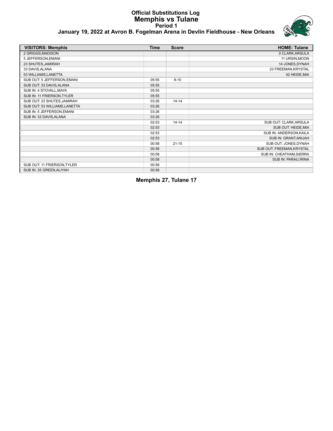### **Official Substitutions Log Memphis vs Tulane Period 1 January 19, 2022 at Avron B. Fogelman Arena in Devlin Fieldhouse - New Orleans**



| <b>VISITORS: Memphis</b>      | <b>Time</b> | <b>Score</b> | <b>HOME: Tulane</b>       |
|-------------------------------|-------------|--------------|---------------------------|
| 2 GRIGGS, MADISON             |             |              | 0 CLARK, ARSULA           |
| 5 JEFFERSON, EMANI            |             |              | 11 URSIN, MOON            |
| 23 SHUTES, JAMIRAH            |             |              | 14 JONES, DYNAH           |
| 33 DAVIS, ALANA               |             |              | 23 FREEMAN, KRYSTAL       |
| 53 WILLIAMS, LANETTA          |             |              | 42 HEIDE, MIA             |
| SUB OUT: 5 JEFFERSON, EMANI   | 05:55       | $8 - 10$     |                           |
| SUB OUT: 33 DAVIS, ALANA      | 05:55       |              |                           |
| SUB IN: 4 STOVALL, MAYA       | 05:55       |              |                           |
| SUB IN: 11 FRIERSON, TYLER    | 05:55       |              |                           |
| SUB OUT: 23 SHUTES, JAMIRAH   | 03:26       | $14 - 14$    |                           |
| SUB OUT: 53 WILLIAMS, LANETTA | 03:26       |              |                           |
| SUB IN: 5 JEFFERSON, EMANI    | 03:26       |              |                           |
| SUB IN: 33 DAVIS, ALANA       | 03:26       |              |                           |
|                               | 02:53       | $14 - 14$    | SUB OUT: CLARK, ARSULA    |
|                               | 02:53       |              | SUB OUT: HEIDE, MIA       |
|                               | 02:53       |              | SUB IN: ANDERSON, KAILA   |
|                               | 02:53       |              | SUB IN: GRANT, ANIJAH     |
|                               | 00:58       | $21 - 15$    | SUB OUT: JONES, DYNAH     |
|                               | 00:58       |              | SUB OUT: FREEMAN, KRYSTAL |
|                               | 00:58       |              | SUB IN: CHEATHAM, SIERRA  |
|                               | 00:58       |              | SUB IN: PARAU, IRINA      |
| SUB OUT: 11 FRIERSON, TYLER   | 00:58       |              |                           |
| SUB IN: 35 GREEN, ALIYAH      | 00:58       |              |                           |

**Memphis 27, Tulane 17**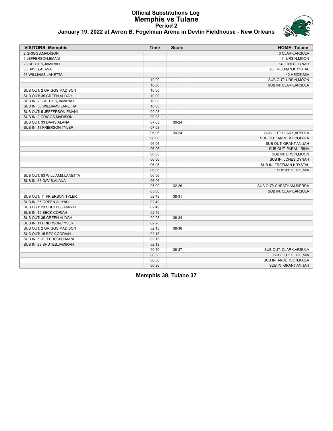### **Official Substitutions Log Memphis vs Tulane Period 2 January 19, 2022 at Avron B. Fogelman Arena in Devlin Fieldhouse - New Orleans**



| <b>VISITORS: Memphis</b>      | <b>Time</b> | <b>Score</b>             | <b>HOME: Tulane</b>       |
|-------------------------------|-------------|--------------------------|---------------------------|
| 2 GRIGGS, MADISON             |             |                          | 0 CLARK, ARSULA           |
| 5 JEFFERSON, EMANI            |             |                          | 11 URSIN, MOON            |
| 23 SHUTES, JAMIRAH            |             |                          | 14 JONES, DYNAH           |
| 33 DAVIS, ALANA               |             |                          | 23 FREEMAN, KRYSTAL       |
| 53 WILLIAMS, LANETTA          |             |                          | 42 HEIDE, MIA             |
|                               | 10:00       | $\blacksquare$           | SUB OUT: URSIN, MOON      |
|                               | 10:00       |                          | SUB IN: CLARK, ARSULA     |
| SUB OUT: 2 GRIGGS, MADISON    | 10:00       |                          |                           |
| SUB OUT: 35 GREEN, ALIYAH     | 10:00       |                          |                           |
| SUB IN: 23 SHUTES, JAMIRAH    | 10:00       |                          |                           |
| SUB IN: 53 WILLIAMS, LANETTA  | 10:00       |                          |                           |
| SUB OUT: 5 JEFFERSON, EMANI   | 09:08       | $\overline{\phantom{a}}$ |                           |
| SUB IN: 2 GRIGGS, MADISON     | 09:08       |                          |                           |
| SUB OUT: 33 DAVIS, ALANA      | 07:03       | $30 - 24$                |                           |
| SUB IN: 11 FRIERSON, TYLER    | 07:03       |                          |                           |
|                               | 06:06       | $30 - 24$                | SUB OUT: CLARK, ARSULA    |
|                               | 06:06       |                          | SUB OUT: ANDERSON, KAILA  |
|                               | 06:06       |                          | SUB OUT: GRANT, ANIJAH    |
|                               | 06:06       |                          | SUB OUT: PARAU, IRINA     |
|                               | 06:06       |                          | SUB IN: URSIN, MOON       |
|                               | 06:06       |                          | SUB IN: JONES, DYNAH      |
|                               | 06:06       |                          | SUB IN: FREEMAN, KRYSTAL  |
|                               | 06:06       |                          | SUB IN: HEIDE, MIA        |
| SUB OUT: 53 WILLIAMS, LANETTA | 06:06       |                          |                           |
| SUB IN: 33 DAVIS, ALANA       | 06:06       |                          |                           |
|                               | 05:00       | 32-26                    | SUB OUT: CHEATHAM, SIERRA |
|                               | 05:00       |                          | SUB IN: CLARK, ARSULA     |
| SUB OUT: 11 FRIERSON, TYLER   | 02:49       | 38-31                    |                           |
| SUB IN: 35 GREEN, ALIYAH      | 02:49       |                          |                           |
| SUB OUT: 23 SHUTES, JAMIRAH   | 02:49       |                          |                           |
| SUB IN: 15 BECK, CORIAH       | 02:49       |                          |                           |
| SUB OUT: 35 GREEN, ALIYAH     | 02:28       | 38-34                    |                           |
| SUB IN: 11 FRIERSON, TYLER    | 02:28       |                          |                           |
| SUB OUT: 2 GRIGGS, MADISON    | 02:13       | 38-36                    |                           |
| SUB OUT: 15 BECK, CORIAH      | 02:13       |                          |                           |
| SUB IN: 5 JEFFERSON, EMANI    | 02:13       |                          |                           |
| SUB IN: 23 SHUTES, JAMIRAH    | 02:13       |                          |                           |
|                               | 00:30       | 38-37                    | SUB OUT: CLARK, ARSULA    |
|                               | 00:30       |                          | SUB OUT: HEIDE, MIA       |
|                               | 00:30       |                          | SUB IN: ANDERSON, KAILA   |
|                               | 00:30       |                          | SUB IN: GRANT, ANIJAH     |

**Memphis 38, Tulane 37**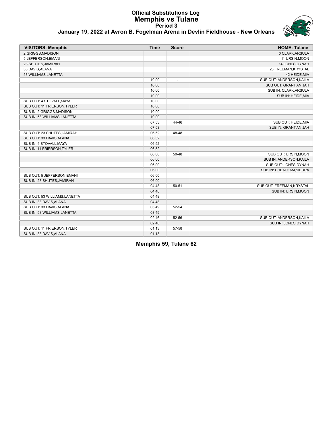# **Official Substitutions Log Memphis vs Tulane Period 3 January 19, 2022 at Avron B. Fogelman Arena in Devlin Fieldhouse - New Orleans**



| <b>VISITORS: Memphis</b>      | <b>Time</b> | <b>Score</b>   | <b>HOME: Tulane</b>       |
|-------------------------------|-------------|----------------|---------------------------|
| 2 GRIGGS, MADISON             |             |                | 0 CLARK, ARSULA           |
| 5 JEFFERSON, EMANI            |             |                | 11 URSIN, MOON            |
| 23 SHUTES, JAMIRAH            |             |                | 14 JONES, DYNAH           |
| 33 DAVIS, ALANA               |             |                | 23 FREEMAN, KRYSTAL       |
| 53 WILLIAMS, LANETTA          |             |                | 42 HEIDE, MIA             |
|                               | 10:00       | $\overline{a}$ | SUB OUT: ANDERSON, KAILA  |
|                               | 10:00       |                | SUB OUT: GRANT, ANIJAH    |
|                               | 10:00       |                | SUB IN: CLARK, ARSULA     |
|                               | 10:00       |                | SUB IN: HEIDE, MIA        |
| SUB OUT: 4 STOVALL, MAYA      | 10:00       |                |                           |
| SUB OUT: 11 FRIERSON, TYLER   | 10:00       |                |                           |
| SUB IN: 2 GRIGGS.MADISON      | 10:00       |                |                           |
| SUB IN: 53 WILLIAMS, LANETTA  | 10:00       |                |                           |
|                               | 07:53       | 44-46          | SUB OUT: HEIDE, MIA       |
|                               | 07:53       |                | SUB IN: GRANT, ANIJAH     |
| SUB OUT: 23 SHUTES, JAMIRAH   | 06:52       | 48-48          |                           |
| SUB OUT: 33 DAVIS.ALANA       | 06:52       |                |                           |
| SUB IN: 4 STOVALL, MAYA       | 06:52       |                |                           |
| SUB IN: 11 FRIERSON, TYLER    | 06:52       |                |                           |
|                               | 06:00       | 50-48          | SUB OUT: URSIN, MOON      |
|                               | 06:00       |                | SUB IN: ANDERSON, KAILA   |
|                               | 06:00       |                | SUB OUT: JONES, DYNAH     |
|                               | 06:00       |                | SUB IN: CHEATHAM, SIERRA  |
| SUB OUT: 5 JEFFERSON, EMANI   | 06:00       |                |                           |
| SUB IN: 23 SHUTES, JAMIRAH    | 06:00       |                |                           |
|                               | 04:48       | 50-51          | SUB OUT: FREEMAN, KRYSTAL |
|                               | 04:48       |                | SUB IN: URSIN, MOON       |
| SUB OUT: 53 WILLIAMS, LANETTA | 04:48       |                |                           |
| SUB IN: 33 DAVIS, ALANA       | 04:48       |                |                           |
| SUB OUT: 33 DAVIS, ALANA      | 03:49       | 52-54          |                           |
| SUB IN: 53 WILLIAMS, LANETTA  | 03:49       |                |                           |
|                               | 02:46       | 52-56          | SUB OUT: ANDERSON, KAILA  |
|                               | 02:46       |                | SUB IN: JONES, DYNAH      |
| SUB OUT: 11 FRIERSON, TYLER   | 01:13       | 57-58          |                           |
| SUB IN: 33 DAVIS, ALANA       | 01:13       |                |                           |

**Memphis 59, Tulane 62**